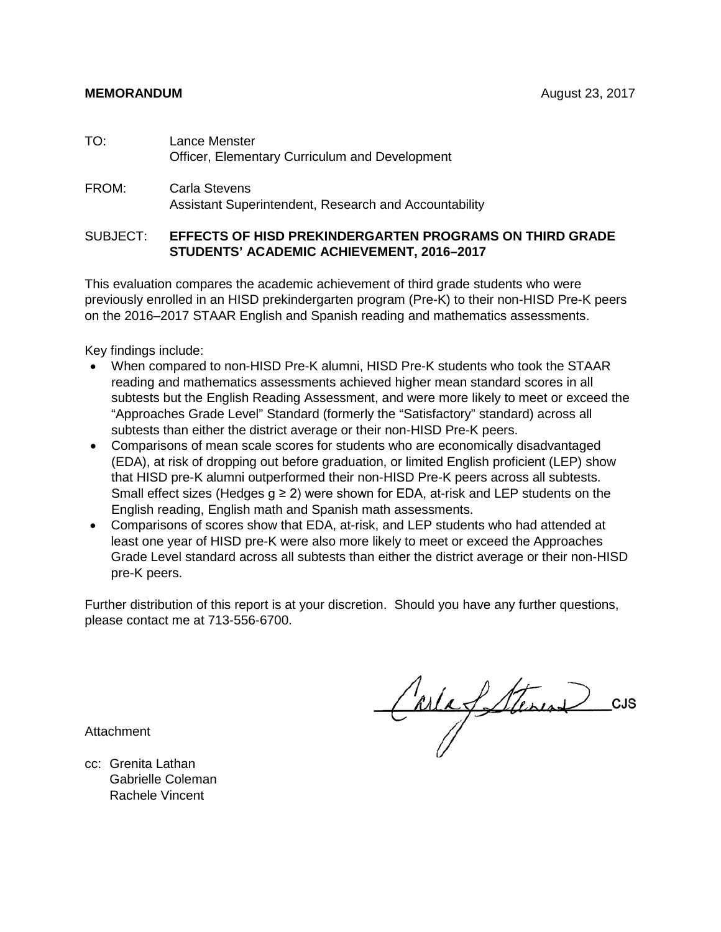#### **MEMORANDUM August 23, 2017**

- TO: Lance Menster Officer, Elementary Curriculum and Development
- FROM: Carla Stevens Assistant Superintendent, Research and Accountability

#### SUBJECT: **EFFECTS OF HISD PREKINDERGARTEN PROGRAMS ON THIRD GRADE STUDENTS' ACADEMIC ACHIEVEMENT, 2016–2017**

This evaluation compares the academic achievement of third grade students who were previously enrolled in an HISD prekindergarten program (Pre-K) to their non-HISD Pre-K peers on the 2016–2017 STAAR English and Spanish reading and mathematics assessments.

Key findings include:

- When compared to non-HISD Pre-K alumni, HISD Pre-K students who took the STAAR reading and mathematics assessments achieved higher mean standard scores in all subtests but the English Reading Assessment, and were more likely to meet or exceed the "Approaches Grade Level" Standard (formerly the "Satisfactory" standard) across all subtests than either the district average or their non-HISD Pre-K peers.
- Comparisons of mean scale scores for students who are economically disadvantaged (EDA), at risk of dropping out before graduation, or limited English proficient (LEP) show that HISD pre-K alumni outperformed their non-HISD Pre-K peers across all subtests. Small effect sizes (Hedges  $g \ge 2$ ) were shown for EDA, at-risk and LEP students on the English reading, English math and Spanish math assessments.
- Comparisons of scores show that EDA, at-risk, and LEP students who had attended at least one year of HISD pre-K were also more likely to meet or exceed the Approaches Grade Level standard across all subtests than either the district average or their non-HISD pre-K peers.

Further distribution of this report is at your discretion. Should you have any further questions, please contact me at 713-556-6700.

Attachment

CarlafSteren

cc: Grenita Lathan Gabrielle Coleman Rachele Vincent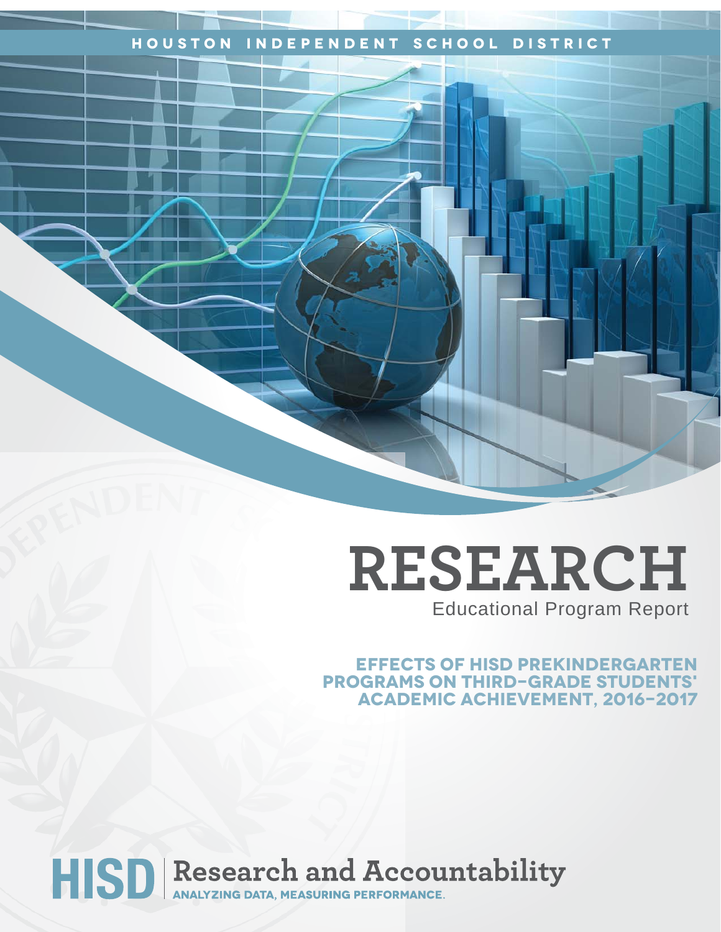### **Houston Independent School District**

# **RESEARCH** Educational Program Report

**Effects of HISD Prekindergarten Programs on Third-Grade Students' Academic Achievement, 2016-2017**

# HISD Research and Accountability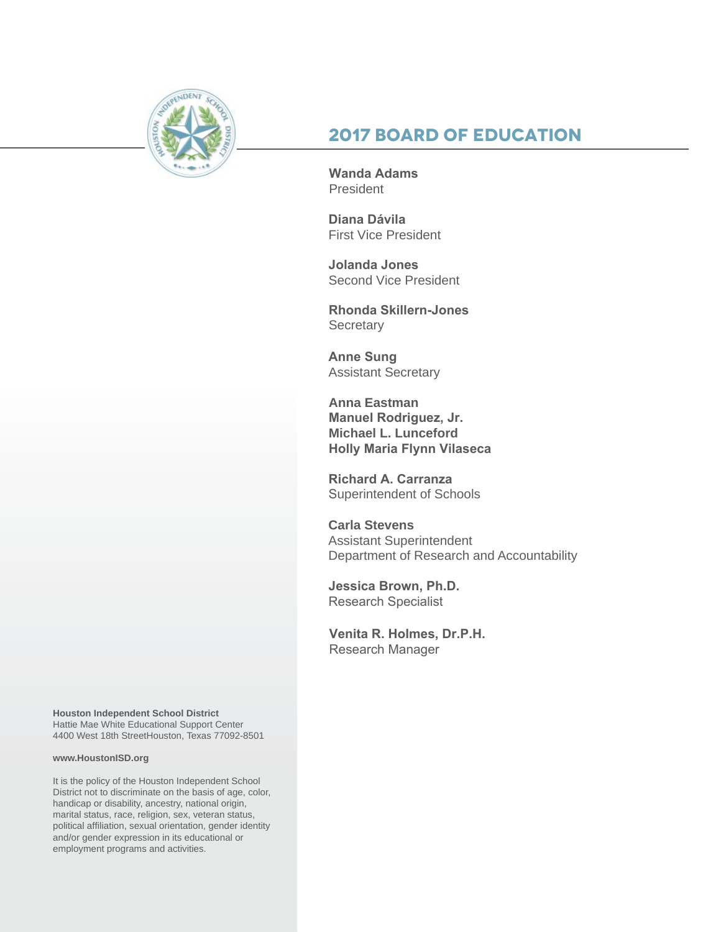

## **2017 Board of Education**

**Wanda Adams President** 

**Diana Dávila**  First Vice President

**Jolanda Jones**  Second Vice President

**Rhonda Skillern-Jones Secretary** 

**Anne Sung** Assistant Secretary

**Anna Eastman Manuel Rodriguez, Jr. Michael L. Lunceford Holly Maria Flynn Vilaseca**

**Richard A. Carranza** Superintendent of Schools

**Carla Stevens** Assistant Superintendent Department of Research and Accountability

**Jessica Brown, Ph.D.**  Research Specialist

**Venita R. Holmes, Dr.P.H.**  Research Manager

**Houston Independent School District** Hattie Mae White Educational Support Center 4400 West 18th StreetHouston, Texas 77092-8501

#### **www.HoustonISD.org**

It is the policy of the Houston Independent School District not to discriminate on the basis of age, color, handicap or disability, ancestry, national origin, marital status, race, religion, sex, veteran status, political affiliation, sexual orientation, gender identity and/or gender expression in its educational or employment programs and activities.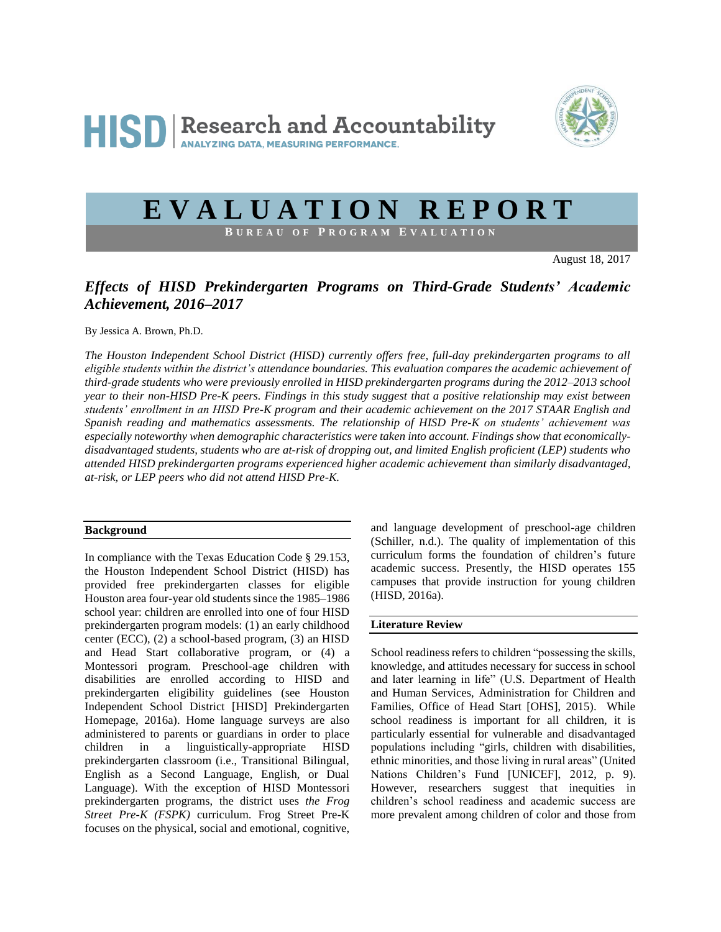

## **E V A L U A T I O N R E P O R T**

**B U R E A U O F P R O G R A M E V A L U A T I O N**

August 18, 2017

#### *Effects of HISD Prekindergarten Programs on Third-Grade Students' Academic Achievement, 2016–2017*

By Jessica A. Brown, Ph.D.

*The Houston Independent School District (HISD) currently offers free, full-day prekindergarten programs to all eligible students within the district's attendance boundaries. This evaluation compares the academic achievement of third-grade students who were previously enrolled in HISD prekindergarten programs during the 2012–2013 school year to their non-HISD Pre-K peers. Findings in this study suggest that a positive relationship may exist between students' enrollment in an HISD Pre-K program and their academic achievement on the 2017 STAAR English and Spanish reading and mathematics assessments. The relationship of HISD Pre-K on students' achievement was especially noteworthy when demographic characteristics were taken into account. Findings show that economicallydisadvantaged students, students who are at-risk of dropping out, and limited English proficient (LEP) students who attended HISD prekindergarten programs experienced higher academic achievement than similarly disadvantaged, at-risk, or LEP peers who did not attend HISD Pre-K.* 

#### **Background**

In compliance with the Texas Education Code § 29.153, the Houston Independent School District (HISD) has provided free prekindergarten classes for eligible Houston area four-year old students since the 1985–1986 school year: children are enrolled into one of four HISD prekindergarten program models: (1) an early childhood center (ECC), (2) a school-based program, (3) an HISD and Head Start collaborative program, or (4) a Montessori program. Preschool-age children with disabilities are enrolled according to HISD and prekindergarten eligibility guidelines (see Houston Independent School District [HISD] Prekindergarten Homepage, 2016a). Home language surveys are also administered to parents or guardians in order to place children in a linguistically-appropriate HISD prekindergarten classroom (i.e., Transitional Bilingual, English as a Second Language, English, or Dual Language). With the exception of HISD Montessori prekindergarten programs, the district uses *the Frog Street Pre-K (FSPK)* curriculum. Frog Street Pre-K focuses on the physical, social and emotional, cognitive,

and language development of preschool-age children (Schiller, n.d.). The quality of implementation of this curriculum forms the foundation of children's future academic success. Presently, the HISD operates 155 campuses that provide instruction for young children (HISD, 2016a).

#### **Literature Review**

School readiness refers to children "possessing the skills, knowledge, and attitudes necessary for success in school and later learning in life" (U.S. Department of Health and Human Services, Administration for Children and Families, Office of Head Start [OHS], 2015). While school readiness is important for all children, it is particularly essential for vulnerable and disadvantaged populations including "girls, children with disabilities, ethnic minorities, and those living in rural areas" (United Nations Children's Fund [UNICEF], 2012, p. 9). However, researchers suggest that inequities in children's school readiness and academic success are more prevalent among children of color and those from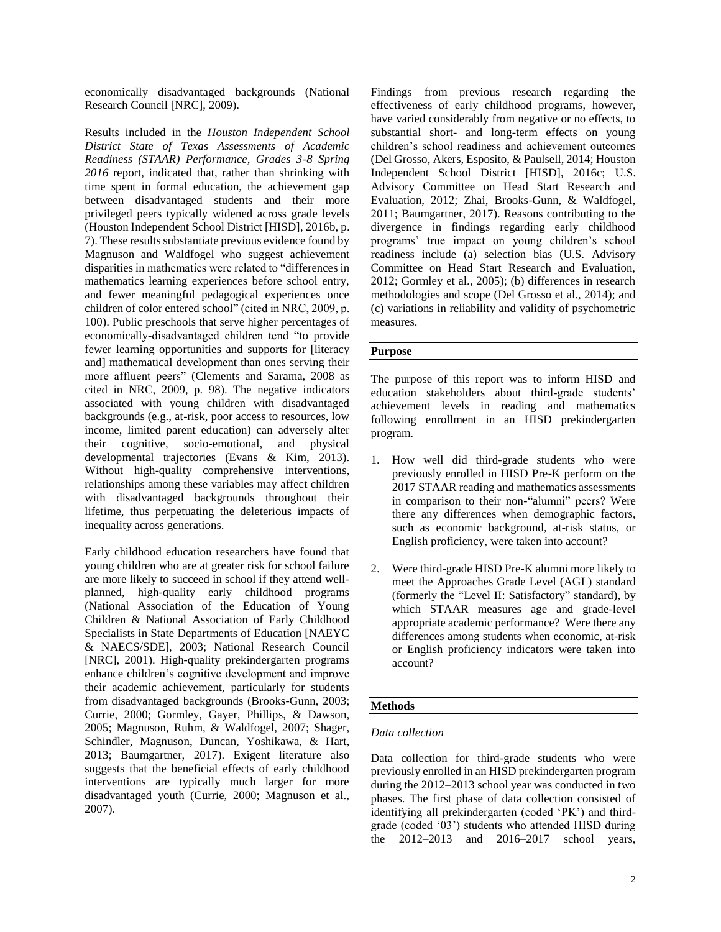economically disadvantaged backgrounds (National Research Council [NRC], 2009).

Results included in the *Houston Independent School District State of Texas Assessments of Academic Readiness (STAAR) Performance, Grades 3-8 Spring 2016* report, indicated that, rather than shrinking with time spent in formal education, the achievement gap between disadvantaged students and their more privileged peers typically widened across grade levels (Houston Independent School District [HISD], 2016b, p. 7). These results substantiate previous evidence found by Magnuson and Waldfogel who suggest achievement disparities in mathematics were related to "differences in mathematics learning experiences before school entry, and fewer meaningful pedagogical experiences once children of color entered school" (cited in NRC, 2009, p. 100). Public preschools that serve higher percentages of economically-disadvantaged children tend "to provide fewer learning opportunities and supports for [literacy and] mathematical development than ones serving their more affluent peers" (Clements and Sarama, 2008 as cited in NRC, 2009, p. 98). The negative indicators associated with young children with disadvantaged backgrounds (e.g., at-risk, poor access to resources, low income, limited parent education) can adversely alter their cognitive, socio-emotional, and physical developmental trajectories (Evans & Kim, 2013). Without high-quality comprehensive interventions, relationships among these variables may affect children with disadvantaged backgrounds throughout their lifetime, thus perpetuating the deleterious impacts of inequality across generations.

Early childhood education researchers have found that young children who are at greater risk for school failure are more likely to succeed in school if they attend wellplanned, high-quality early childhood programs (National Association of the Education of Young Children & National Association of Early Childhood Specialists in State Departments of Education [NAEYC & NAECS/SDE], 2003; National Research Council [NRC], 2001). High-quality prekindergarten programs enhance children's cognitive development and improve their academic achievement, particularly for students from disadvantaged backgrounds (Brooks-Gunn, 2003; Currie, 2000; Gormley, Gayer, Phillips, & Dawson, 2005; Magnuson, Ruhm, & Waldfogel, 2007; Shager, Schindler, Magnuson, Duncan, Yoshikawa, & Hart, 2013; Baumgartner, 2017). Exigent literature also suggests that the beneficial effects of early childhood interventions are typically much larger for more disadvantaged youth (Currie, 2000; Magnuson et al., 2007).

Findings from previous research regarding the effectiveness of early childhood programs, however, have varied considerably from negative or no effects, to substantial short- and long-term effects on young children's school readiness and achievement outcomes (Del Grosso, Akers, Esposito, & Paulsell, 2014; Houston Independent School District [HISD], 2016c; U.S. Advisory Committee on Head Start Research and Evaluation, 2012; Zhai, Brooks-Gunn, & Waldfogel, 2011; Baumgartner, 2017). Reasons contributing to the divergence in findings regarding early childhood programs' true impact on young children's school readiness include (a) selection bias (U.S. Advisory Committee on Head Start Research and Evaluation, 2012; Gormley et al., 2005); (b) differences in research methodologies and scope (Del Grosso et al., 2014); and (c) variations in reliability and validity of psychometric measures.

#### **Purpose**

The purpose of this report was to inform HISD and education stakeholders about third-grade students' achievement levels in reading and mathematics following enrollment in an HISD prekindergarten program.

- 1. How well did third-grade students who were previously enrolled in HISD Pre-K perform on the 2017 STAAR reading and mathematics assessments in comparison to their non-"alumni" peers? Were there any differences when demographic factors, such as economic background, at-risk status, or English proficiency, were taken into account?
- 2. Were third-grade HISD Pre-K alumni more likely to meet the Approaches Grade Level (AGL) standard (formerly the "Level II: Satisfactory" standard), by which STAAR measures age and grade-level appropriate academic performance? Were there any differences among students when economic, at-risk or English proficiency indicators were taken into account?

#### **Methods**

#### *Data collection*

Data collection for third-grade students who were previously enrolled in an HISD prekindergarten program during the 2012–2013 school year was conducted in two phases. The first phase of data collection consisted of identifying all prekindergarten (coded 'PK') and thirdgrade (coded '03') students who attended HISD during the 2012–2013 and 2016–2017 school years,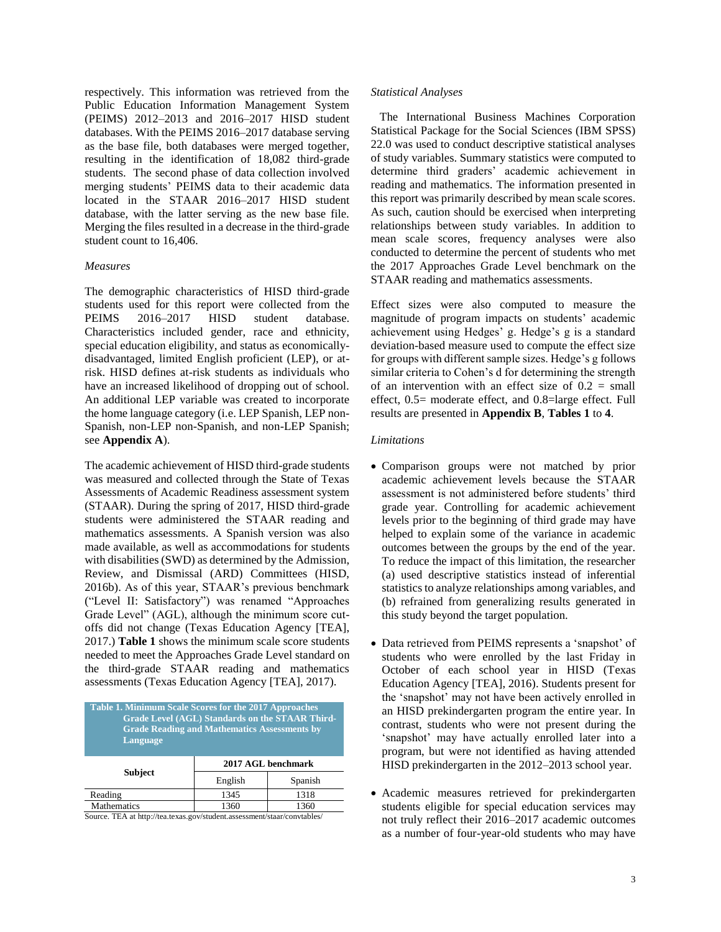respectively. This information was retrieved from the Public Education Information Management System (PEIMS) 2012–2013 and 2016–2017 HISD student databases. With the PEIMS 2016–2017 database serving as the base file, both databases were merged together, resulting in the identification of 18,082 third-grade students. The second phase of data collection involved merging students' PEIMS data to their academic data located in the STAAR 2016–2017 HISD student database, with the latter serving as the new base file. Merging the files resulted in a decrease in the third-grade student count to 16,406.

#### *Measures*

The demographic characteristics of HISD third-grade students used for this report were collected from the PEIMS 2016–2017 HISD student database. Characteristics included gender, race and ethnicity, special education eligibility, and status as economicallydisadvantaged, limited English proficient (LEP), or atrisk. HISD defines at-risk students as individuals who have an increased likelihood of dropping out of school. An additional LEP variable was created to incorporate the home language category (i.e. LEP Spanish, LEP non-Spanish, non-LEP non-Spanish, and non-LEP Spanish; see **Appendix A**).

The academic achievement of HISD third-grade students was measured and collected through the State of Texas Assessments of Academic Readiness assessment system (STAAR). During the spring of 2017, HISD third-grade students were administered the STAAR reading and mathematics assessments. A Spanish version was also made available, as well as accommodations for students with disabilities (SWD) as determined by the Admission, Review, and Dismissal (ARD) Committees (HISD, 2016b). As of this year, STAAR's previous benchmark ("Level II: Satisfactory") was renamed "Approaches Grade Level" (AGL), although the minimum score cutoffs did not change (Texas Education Agency [TEA], 2017.) **Table 1** shows the minimum scale score students needed to meet the Approaches Grade Level standard on the third-grade STAAR reading and mathematics assessments (Texas Education Agency [TEA], 2017).

| Table 1. Minimum Scale Scores for the 2017 Approaches<br><b>Grade Level (AGL) Standards on the STAAR Third-</b><br><b>Grade Reading and Mathematics Assessments by</b><br>Language |                    |         |  |  |  |  |  |  |
|------------------------------------------------------------------------------------------------------------------------------------------------------------------------------------|--------------------|---------|--|--|--|--|--|--|
|                                                                                                                                                                                    | 2017 AGL benchmark |         |  |  |  |  |  |  |
| <b>Subject</b>                                                                                                                                                                     | English            | Spanish |  |  |  |  |  |  |
| Reading                                                                                                                                                                            | 1345               | 1318    |  |  |  |  |  |  |
| Mathematics<br>1360<br>1360                                                                                                                                                        |                    |         |  |  |  |  |  |  |

Source. TEA at http://tea.texas.gov/student.assessment/staar/convtables/

#### *Statistical Analyses*

 The International Business Machines Corporation Statistical Package for the Social Sciences (IBM SPSS) 22.0 was used to conduct descriptive statistical analyses of study variables. Summary statistics were computed to determine third graders' academic achievement in reading and mathematics. The information presented in this report was primarily described by mean scale scores. As such, caution should be exercised when interpreting relationships between study variables. In addition to mean scale scores, frequency analyses were also conducted to determine the percent of students who met the 2017 Approaches Grade Level benchmark on the STAAR reading and mathematics assessments.

Effect sizes were also computed to measure the magnitude of program impacts on students' academic achievement using Hedges' g. Hedge's g is a standard deviation-based measure used to compute the effect size for groups with different sample sizes. Hedge's g follows similar criteria to Cohen's d for determining the strength of an intervention with an effect size of  $0.2$  = small effect, 0.5= moderate effect, and 0.8=large effect. Full results are presented in **Appendix B**, **Tables 1** to **4**.

#### *Limitations*

- Comparison groups were not matched by prior academic achievement levels because the STAAR assessment is not administered before students' third grade year. Controlling for academic achievement levels prior to the beginning of third grade may have helped to explain some of the variance in academic outcomes between the groups by the end of the year. To reduce the impact of this limitation, the researcher (a) used descriptive statistics instead of inferential statistics to analyze relationships among variables, and (b) refrained from generalizing results generated in this study beyond the target population.
- Data retrieved from PEIMS represents a 'snapshot' of students who were enrolled by the last Friday in October of each school year in HISD (Texas Education Agency [TEA], 2016). Students present for the 'snapshot' may not have been actively enrolled in an HISD prekindergarten program the entire year. In contrast, students who were not present during the 'snapshot' may have actually enrolled later into a program, but were not identified as having attended HISD prekindergarten in the 2012–2013 school year.
- Academic measures retrieved for prekindergarten students eligible for special education services may not truly reflect their 2016–2017 academic outcomes as a number of four-year-old students who may have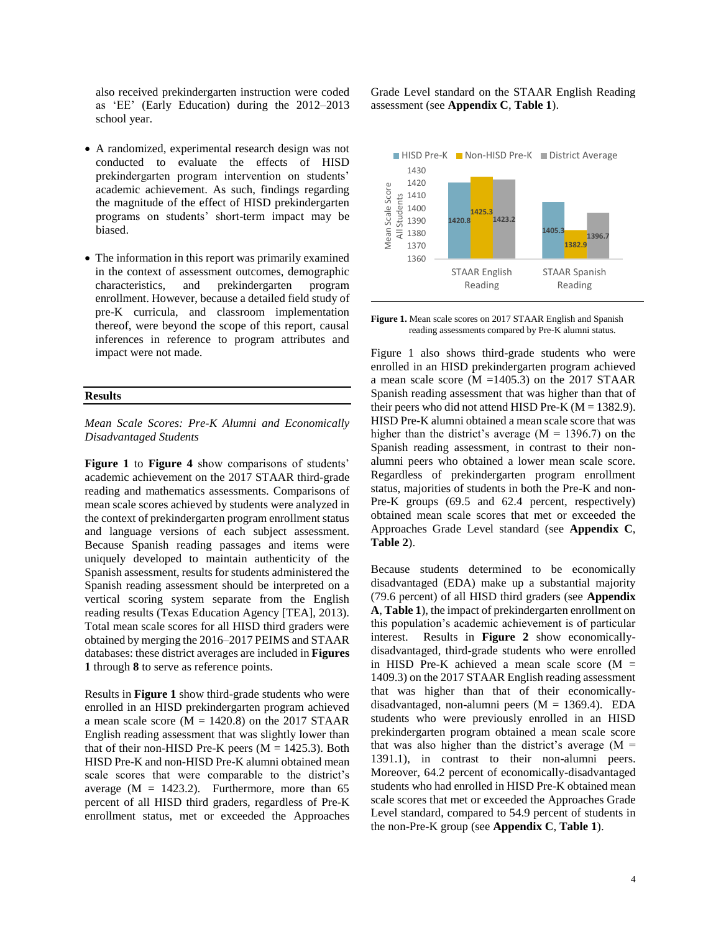also received prekindergarten instruction were coded as 'EE' (Early Education) during the 2012–2013 school year.

- A randomized, experimental research design was not conducted to evaluate the effects of HISD prekindergarten program intervention on students' academic achievement. As such, findings regarding the magnitude of the effect of HISD prekindergarten programs on students' short-term impact may be biased.
- The information in this report was primarily examined in the context of assessment outcomes, demographic characteristics, and prekindergarten program enrollment. However, because a detailed field study of pre-K curricula, and classroom implementation thereof, were beyond the scope of this report, causal inferences in reference to program attributes and impact were not made.

#### **Results**

*Mean Scale Scores: Pre-K Alumni and Economically Disadvantaged Students*

**Figure 1** to **Figure 4** show comparisons of students' academic achievement on the 2017 STAAR third-grade reading and mathematics assessments. Comparisons of mean scale scores achieved by students were analyzed in the context of prekindergarten program enrollment status and language versions of each subject assessment. Because Spanish reading passages and items were uniquely developed to maintain authenticity of the Spanish assessment, results for students administered the Spanish reading assessment should be interpreted on a vertical scoring system separate from the English reading results (Texas Education Agency [TEA], 2013). Total mean scale scores for all HISD third graders were obtained by merging the 2016–2017 PEIMS and STAAR databases: these district averages are included in **Figures 1** through **8** to serve as reference points.

Results in **Figure 1** show third-grade students who were enrolled in an HISD prekindergarten program achieved a mean scale score  $(M = 1420.8)$  on the 2017 STAAR English reading assessment that was slightly lower than that of their non-HISD Pre-K peers  $(M = 1425.3)$ . Both HISD Pre-K and non-HISD Pre-K alumni obtained mean scale scores that were comparable to the district's average  $(M = 1423.2)$ . Furthermore, more than 65 percent of all HISD third graders, regardless of Pre-K enrollment status, met or exceeded the Approaches Grade Level standard on the STAAR English Reading assessment (see **Appendix C**, **Table 1**).



**Figure 1.** Mean scale scores on 2017 STAAR English and Spanish reading assessments compared by Pre-K alumni status.

Figure 1 also shows third-grade students who were enrolled in an HISD prekindergarten program achieved a mean scale score ( $M = 1405.3$ ) on the 2017 STAAR Spanish reading assessment that was higher than that of their peers who did not attend HISD Pre-K ( $M = 1382.9$ ). HISD Pre-K alumni obtained a mean scale score that was higher than the district's average  $(M = 1396.7)$  on the Spanish reading assessment, in contrast to their nonalumni peers who obtained a lower mean scale score. Regardless of prekindergarten program enrollment status, majorities of students in both the Pre-K and non-Pre-K groups (69.5 and 62.4 percent, respectively) obtained mean scale scores that met or exceeded the Approaches Grade Level standard (see **Appendix C**, **Table 2**).

Because students determined to be economically disadvantaged (EDA) make up a substantial majority (79.6 percent) of all HISD third graders (see **Appendix A**, **Table 1**), the impact of prekindergarten enrollment on this population's academic achievement is of particular interest. Results in **Figure 2** show economicallydisadvantaged, third-grade students who were enrolled in HISD Pre-K achieved a mean scale score  $(M =$ 1409.3) on the 2017 STAAR English reading assessment that was higher than that of their economicallydisadvantaged, non-alumni peers  $(M = 1369.4)$ . EDA students who were previously enrolled in an HISD prekindergarten program obtained a mean scale score that was also higher than the district's average  $(M =$ 1391.1), in contrast to their non-alumni peers. Moreover, 64.2 percent of economically-disadvantaged students who had enrolled in HISD Pre-K obtained mean scale scores that met or exceeded the Approaches Grade Level standard, compared to 54.9 percent of students in the non-Pre-K group (see **Appendix C**, **Table 1**).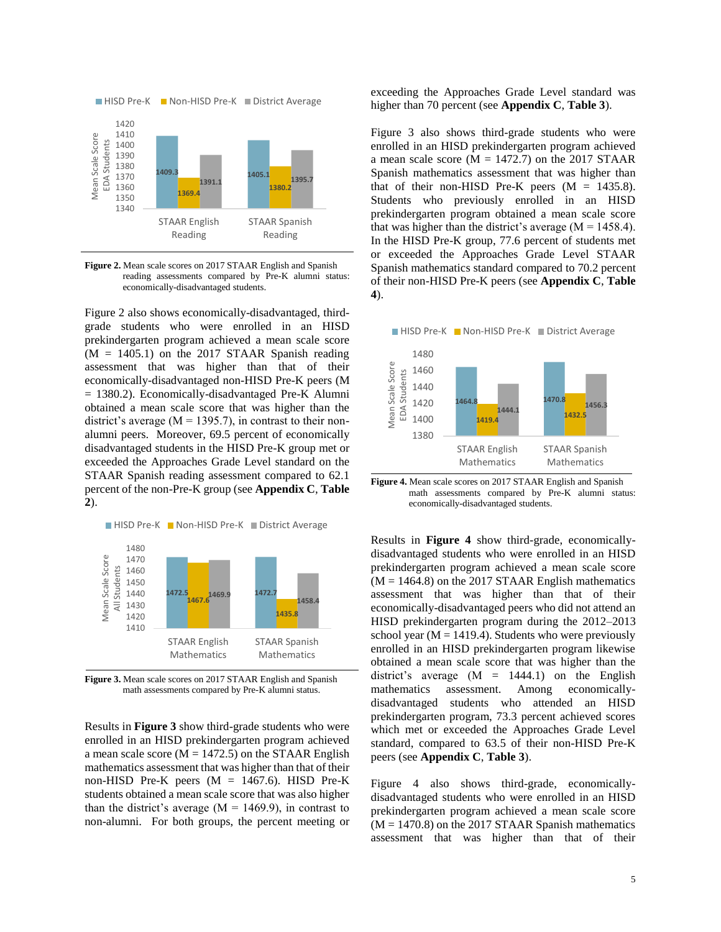

**Figure 2.** Mean scale scores on 2017 STAAR English and Spanish reading assessments compared by Pre-K alumni status: economically-disadvantaged students.

Figure 2 also shows economically-disadvantaged, thirdgrade students who were enrolled in an HISD prekindergarten program achieved a mean scale score  $(M = 1405.1)$  on the 2017 STAAR Spanish reading assessment that was higher than that of their economically-disadvantaged non-HISD Pre-K peers (M = 1380.2). Economically-disadvantaged Pre-K Alumni obtained a mean scale score that was higher than the district's average ( $M = 1395.7$ ), in contrast to their nonalumni peers. Moreover, 69.5 percent of economically disadvantaged students in the HISD Pre-K group met or exceeded the Approaches Grade Level standard on the STAAR Spanish reading assessment compared to 62.1 percent of the non-Pre-K group (see **Appendix C**, **Table 2**).

■ HISD Pre-K ■ Non-HISD Pre-K ■ District Average



**Figure 3.** Mean scale scores on 2017 STAAR English and Spanish math assessments compared by Pre-K alumni status.

Results in **Figure 3** show third-grade students who were enrolled in an HISD prekindergarten program achieved a mean scale score ( $M = 1472.5$ ) on the STAAR English mathematics assessment that was higher than that of their non-HISD Pre-K peers  $(M = 1467.6)$ . HISD Pre-K students obtained a mean scale score that was also higher than the district's average  $(M = 1469.9)$ , in contrast to non-alumni. For both groups, the percent meeting or exceeding the Approaches Grade Level standard was higher than 70 percent (see **Appendix C**, **Table 3**).

Figure 3 also shows third-grade students who were enrolled in an HISD prekindergarten program achieved a mean scale score  $(M = 1472.7)$  on the 2017 STAAR Spanish mathematics assessment that was higher than that of their non-HISD Pre-K peers  $(M = 1435.8)$ . Students who previously enrolled in an HISD prekindergarten program obtained a mean scale score that was higher than the district's average  $(M = 1458.4)$ . In the HISD Pre-K group, 77.6 percent of students met or exceeded the Approaches Grade Level STAAR Spanish mathematics standard compared to 70.2 percent of their non-HISD Pre-K peers (see **Appendix C**, **Table 4**).





**Figure 4.** Mean scale scores on 2017 STAAR English and Spanish math assessments compared by Pre-K alumni status: economically-disadvantaged students.

Results in **Figure 4** show third-grade, economicallydisadvantaged students who were enrolled in an HISD prekindergarten program achieved a mean scale score  $(M = 1464.8)$  on the 2017 STAAR English mathematics assessment that was higher than that of their economically-disadvantaged peers who did not attend an HISD prekindergarten program during the 2012–2013 school year ( $M = 1419.4$ ). Students who were previously enrolled in an HISD prekindergarten program likewise obtained a mean scale score that was higher than the district's average  $(M = 1444.1)$  on the English mathematics assessment. Among economicallydisadvantaged students who attended an HISD prekindergarten program, 73.3 percent achieved scores which met or exceeded the Approaches Grade Level standard, compared to 63.5 of their non-HISD Pre-K peers (see **Appendix C**, **Table 3**).

Figure 4 also shows third-grade, economicallydisadvantaged students who were enrolled in an HISD prekindergarten program achieved a mean scale score  $(M = 1470.8)$  on the 2017 STAAR Spanish mathematics assessment that was higher than that of their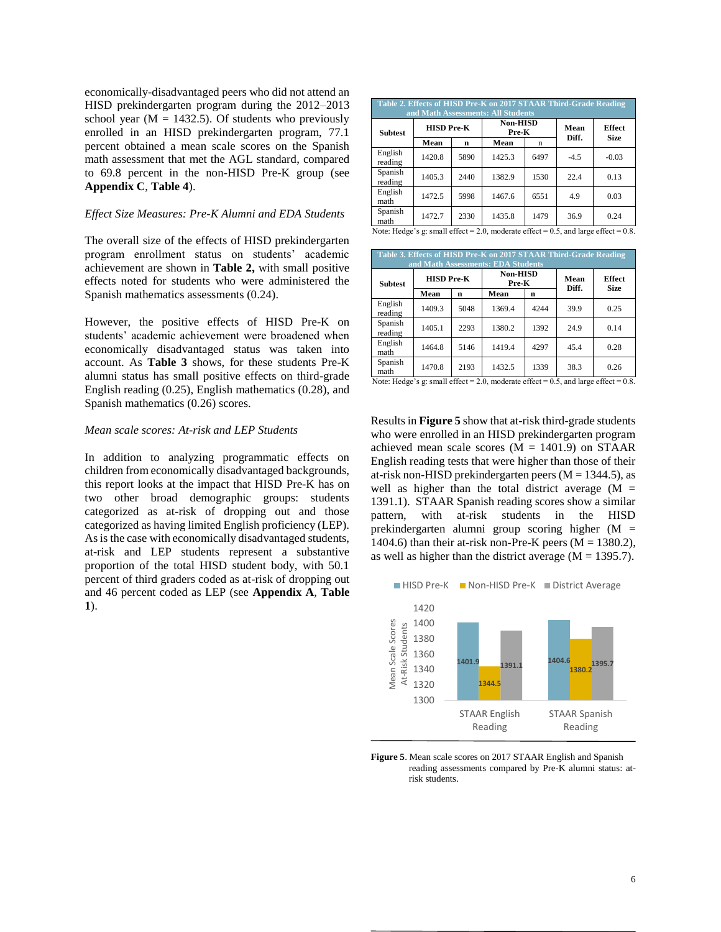economically-disadvantaged peers who did not attend an HISD prekindergarten program during the 2012–2013 school year ( $M = 1432.5$ ). Of students who previously enrolled in an HISD prekindergarten program, 77.1 percent obtained a mean scale scores on the Spanish math assessment that met the AGL standard, compared to 69.8 percent in the non-HISD Pre-K group (see **Appendix C**, **Table 4**).

#### *Effect Size Measures: Pre-K Alumni and EDA Students*

The overall size of the effects of HISD prekindergarten program enrollment status on students' academic achievement are shown in **Table 2,** with small positive effects noted for students who were administered the Spanish mathematics assessments (0.24).

However, the positive effects of HISD Pre-K on students' academic achievement were broadened when economically disadvantaged status was taken into account. As **Table 3** shows, for these students Pre-K alumni status has small positive effects on third-grade English reading (0.25), English mathematics (0.28), and Spanish mathematics (0.26) scores.

#### *Mean scale scores: At-risk and LEP Students*

In addition to analyzing programmatic effects on children from economically disadvantaged backgrounds, this report looks at the impact that HISD Pre-K has on two other broad demographic groups: students categorized as at-risk of dropping out and those categorized as having limited English proficiency (LEP). As is the case with economically disadvantaged students, at-risk and LEP students represent a substantive proportion of the total HISD student body, with 50.1 percent of third graders coded as at-risk of dropping out and 46 percent coded as LEP (see **Appendix A**, **Table 1**).

| Table 2. Effects of HISD Pre-K on 2017 STAAR Third-Grade Reading<br>and Math Assessments: All Students |                   |      |                          |      |               |                              |  |  |  |  |  |
|--------------------------------------------------------------------------------------------------------|-------------------|------|--------------------------|------|---------------|------------------------------|--|--|--|--|--|
| <b>Subtest</b>                                                                                         | <b>HISD Pre-K</b> |      | <b>Non-HISD</b><br>Pre-K |      | Mean<br>Diff. | <b>Effect</b><br><b>Size</b> |  |  |  |  |  |
|                                                                                                        | Mean              | n    | Mean                     | n    |               |                              |  |  |  |  |  |
| English<br>reading                                                                                     | 1420.8            | 5890 | 1425.3                   | 6497 | $-4.5$        | $-0.03$                      |  |  |  |  |  |
| Spanish<br>reading                                                                                     | 1405.3            | 2440 | 1382.9                   | 1530 | 22.4          | 0.13                         |  |  |  |  |  |
| English<br>math                                                                                        | 1472.5            | 5998 | 1467.6                   | 6551 | 4.9           | 0.03                         |  |  |  |  |  |
| Spanish<br>math                                                                                        | 1472.7            | 2330 | 1435.8                   | 1479 | 36.9          | 0.24                         |  |  |  |  |  |

| ote: Hedge's g: small effect = 2.0, moderate effect = 0.5, and large effect = 0.8. |  |  |
|------------------------------------------------------------------------------------|--|--|
|------------------------------------------------------------------------------------|--|--|

| Table 3. Effects of HISD Pre-K on 2017 STAAR Third-Grade Reading<br>and Math Assessments: EDA Students |                   |      |                                                                                                                                                                                                                                                                                                                             |      |               |                              |  |  |  |  |  |
|--------------------------------------------------------------------------------------------------------|-------------------|------|-----------------------------------------------------------------------------------------------------------------------------------------------------------------------------------------------------------------------------------------------------------------------------------------------------------------------------|------|---------------|------------------------------|--|--|--|--|--|
| <b>Subtest</b>                                                                                         | <b>HISD Pre-K</b> |      | <b>Non-HISD</b><br>Pre-K                                                                                                                                                                                                                                                                                                    |      | Mean<br>Diff. | <b>Effect</b><br><b>Size</b> |  |  |  |  |  |
|                                                                                                        | Mean              | n    | Mean                                                                                                                                                                                                                                                                                                                        | n    |               |                              |  |  |  |  |  |
| English<br>reading                                                                                     | 1409.3            | 5048 | 1369.4                                                                                                                                                                                                                                                                                                                      | 4244 | 39.9          | 0.25                         |  |  |  |  |  |
| Spanish<br>reading                                                                                     | 1405.1            | 2293 | 1380.2                                                                                                                                                                                                                                                                                                                      | 1392 | 24.9          | 0.14                         |  |  |  |  |  |
| English<br>math                                                                                        | 1464.8            | 5146 | 1419.4                                                                                                                                                                                                                                                                                                                      | 4297 | 45.4          | 0.28                         |  |  |  |  |  |
| Spanish<br>math                                                                                        | 1470.8            | 2193 | 1432.5<br>$\mathcal{M}$ and $\mathcal{M}$ and $\mathcal{M}$ and $\mathcal{M}$ and $\mathcal{M}$ and $\mathcal{M}$ and $\mathcal{M}$ and $\mathcal{M}$ and $\mathcal{M}$ and $\mathcal{M}$ and $\mathcal{M}$ and $\mathcal{M}$ and $\mathcal{M}$ and $\mathcal{M}$ and $\mathcal{M}$ and $\mathcal{M}$ and $\mathcal{M}$ and | 1339 | 38.3          | 0.26                         |  |  |  |  |  |

Note: Hedge's g: small effect = 2.0, moderate effect =  $0.5$ , and large effect =  $0.8$ .

Results in **Figure 5** show that at-risk third-grade students who were enrolled in an HISD prekindergarten program achieved mean scale scores  $(M = 1401.9)$  on STAAR English reading tests that were higher than those of their at-risk non-HISD prekindergarten peers ( $M = 1344.5$ ), as well as higher than the total district average  $(M =$ 1391.1). STAAR Spanish reading scores show a similar pattern, with at-risk students in the HISD prekindergarten alumni group scoring higher (M = 1404.6) than their at-risk non-Pre-K peers ( $M = 1380.2$ ), as well as higher than the district average  $(M = 1395.7)$ .





**Figure 5**. Mean scale scores on 2017 STAAR English and Spanish reading assessments compared by Pre-K alumni status: atrisk students.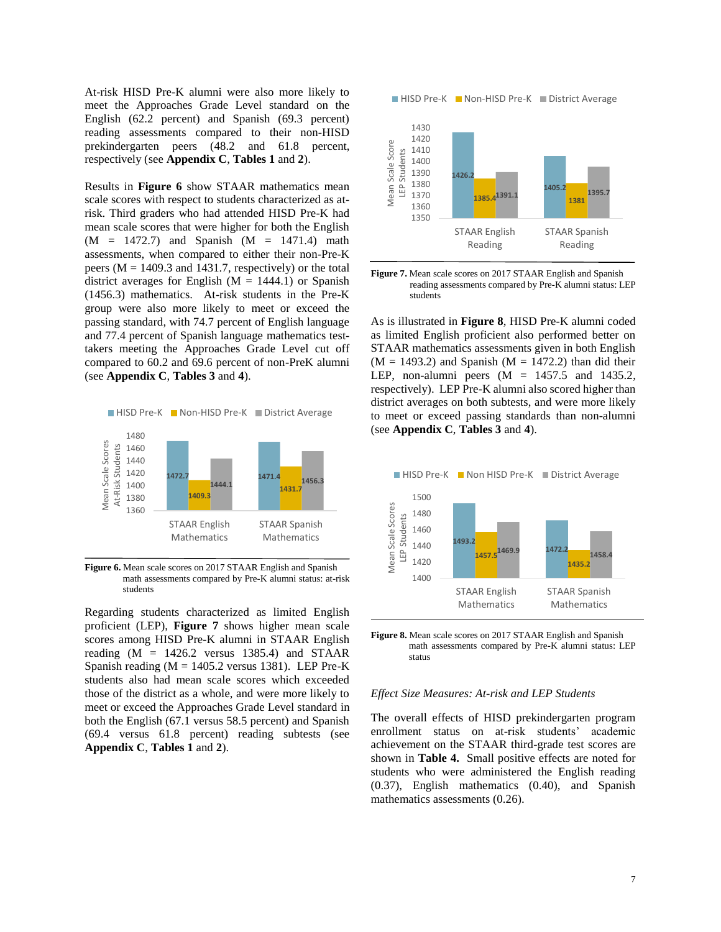At-risk HISD Pre-K alumni were also more likely to meet the Approaches Grade Level standard on the English (62.2 percent) and Spanish (69.3 percent) reading assessments compared to their non-HISD prekindergarten peers (48.2 and 61.8 percent, respectively (see **Appendix C**, **Tables 1** and **2**).

Results in **Figure 6** show STAAR mathematics mean scale scores with respect to students characterized as atrisk. Third graders who had attended HISD Pre-K had mean scale scores that were higher for both the English  $(M = 1472.7)$  and Spanish  $(M = 1471.4)$  math assessments, when compared to either their non-Pre-K peers ( $M = 1409.3$  and 1431.7, respectively) or the total district averages for English  $(M = 1444.1)$  or Spanish (1456.3) mathematics. At-risk students in the Pre-K group were also more likely to meet or exceed the passing standard, with 74.7 percent of English language and 77.4 percent of Spanish language mathematics testtakers meeting the Approaches Grade Level cut off compared to 60.2 and 69.6 percent of non-PreK alumni (see **Appendix C**, **Tables 3** and **4**).



**Figure 6.** Mean scale scores on 2017 STAAR English and Spanish math assessments compared by Pre-K alumni status: at-risk students

Regarding students characterized as limited English proficient (LEP), **Figure 7** shows higher mean scale scores among HISD Pre-K alumni in STAAR English reading  $(M = 1426.2$  versus 1385.4) and STAAR Spanish reading  $(M = 1405.2$  versus 1381). LEP Pre-K students also had mean scale scores which exceeded those of the district as a whole, and were more likely to meet or exceed the Approaches Grade Level standard in both the English (67.1 versus 58.5 percent) and Spanish (69.4 versus 61.8 percent) reading subtests (see **Appendix C**, **Tables 1** and **2**).

■ HISD Pre-K ■ Non-HISD Pre-K ■ District Average



**Figure 7.** Mean scale scores on 2017 STAAR English and Spanish reading assessments compared by Pre-K alumni status: LEP students

As is illustrated in **Figure 8**, HISD Pre-K alumni coded as limited English proficient also performed better on STAAR mathematics assessments given in both English  $(M = 1493.2)$  and Spanish  $(M = 1472.2)$  than did their LEP, non-alumni peers  $(M = 1457.5$  and 1435.2, respectively). LEP Pre-K alumni also scored higher than district averages on both subtests, and were more likely to meet or exceed passing standards than non-alumni (see **Appendix C**, **Tables 3** and **4**).



**Figure 8.** Mean scale scores on 2017 STAAR English and Spanish math assessments compared by Pre-K alumni status: LEP status

#### *Effect Size Measures: At-risk and LEP Students*

The overall effects of HISD prekindergarten program enrollment status on at-risk students' academic achievement on the STAAR third-grade test scores are shown in **Table 4.** Small positive effects are noted for students who were administered the English reading (0.37), English mathematics (0.40), and Spanish mathematics assessments (0.26).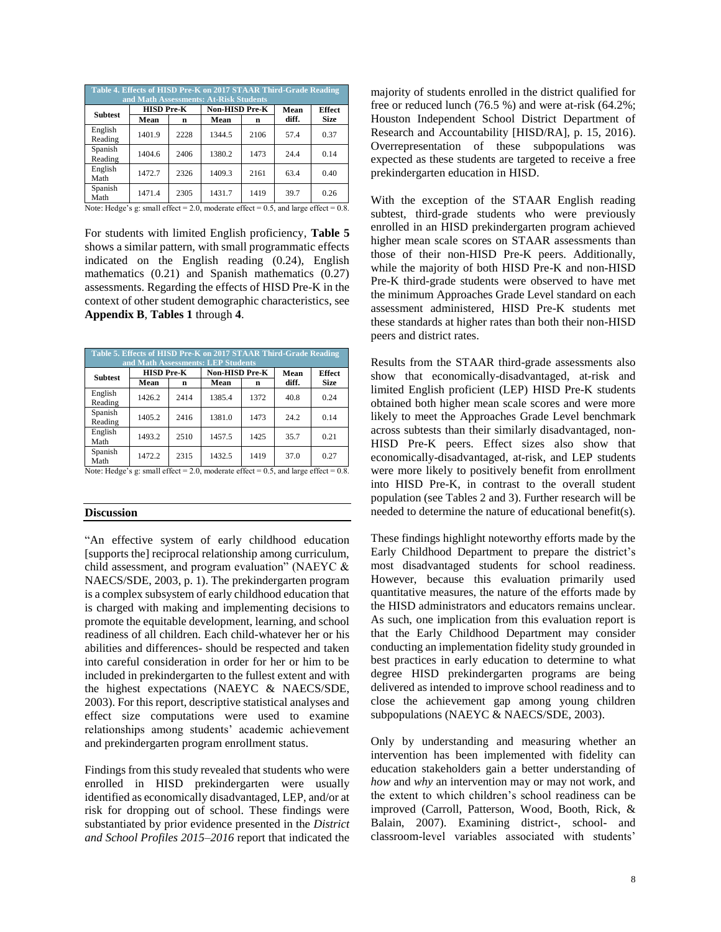|                    | Table 4. Effects of HISD Pre-K on 2017 STAAR Third-Grade Reading<br>and Math Assessments: At-Risk Students |      |                       |      |       |               |  |  |  |  |  |  |  |
|--------------------|------------------------------------------------------------------------------------------------------------|------|-----------------------|------|-------|---------------|--|--|--|--|--|--|--|
| <b>Subtest</b>     | <b>HISD Pre-K</b>                                                                                          |      | <b>Non-HISD Pre-K</b> |      | Mean  | <b>Effect</b> |  |  |  |  |  |  |  |
|                    | Mean                                                                                                       | n    | Mean                  | n    | diff. | <b>Size</b>   |  |  |  |  |  |  |  |
| English<br>Reading | 1401.9                                                                                                     | 2228 | 1344.5                | 2106 | 57.4  | 0.37          |  |  |  |  |  |  |  |
| Spanish<br>Reading | 1404.6                                                                                                     | 2406 | 1380.2                | 1473 | 24.4  | 0.14          |  |  |  |  |  |  |  |
| English<br>Math    | 1472.7                                                                                                     | 2326 | 1409.3                | 2161 | 63.4  | 0.40          |  |  |  |  |  |  |  |
| Spanish<br>Math    | 1471.4                                                                                                     | 2305 | 1431.7                | 1419 | 39.7  | 0.26          |  |  |  |  |  |  |  |

Note: Hedge's g: small effect =  $2.0$ , moderate effect =  $0.5$ , and large effect =  $0.8$ .

For students with limited English proficiency, **Table 5** shows a similar pattern, with small programmatic effects indicated on the English reading (0.24), English mathematics (0.21) and Spanish mathematics (0.27) assessments. Regarding the effects of HISD Pre-K in the context of other student demographic characteristics, see **Appendix B**, **Tables 1** through **4**.

|                    | Table 5. Effects of HISD Pre-K on 2017 STAAR Third-Grade Reading<br>and Math Assessments: LEP Students |      |                |      |       |               |  |  |  |  |  |  |
|--------------------|--------------------------------------------------------------------------------------------------------|------|----------------|------|-------|---------------|--|--|--|--|--|--|
| <b>Subtest</b>     | <b>HISD Pre-K</b>                                                                                      |      | Non-HISD Pre-K |      | Mean  | <b>Effect</b> |  |  |  |  |  |  |
|                    | Mean                                                                                                   | n    | Mean           | n    | diff. | <b>Size</b>   |  |  |  |  |  |  |
| English<br>Reading | 1426.2                                                                                                 | 2414 | 1385.4         | 1372 | 40.8  | 0.24          |  |  |  |  |  |  |
| Spanish<br>Reading | 1405.2                                                                                                 | 2416 | 1381.0         | 1473 | 24.2  | 0.14          |  |  |  |  |  |  |
| English<br>Math    | 1493.2                                                                                                 | 2510 | 1457.5         | 1425 | 35.7  | 0.21          |  |  |  |  |  |  |
| Spanish<br>Math    | 1472.2                                                                                                 | 2315 | 1432.5         | 1419 | 37.0  | 0.27          |  |  |  |  |  |  |

Note: Hedge's g: small effect =  $2.0$ , moderate effect =  $0.5$ , and large effect =  $0.8$ .

#### **Discussion**

"An effective system of early childhood education [supports the] reciprocal relationship among curriculum, child assessment, and program evaluation" (NAEYC & NAECS/SDE, 2003, p. 1). The prekindergarten program is a complex subsystem of early childhood education that is charged with making and implementing decisions to promote the equitable development, learning, and school readiness of all children. Each child-whatever her or his abilities and differences- should be respected and taken into careful consideration in order for her or him to be included in prekindergarten to the fullest extent and with the highest expectations (NAEYC & NAECS/SDE, 2003). For this report, descriptive statistical analyses and effect size computations were used to examine relationships among students' academic achievement and prekindergarten program enrollment status.

Findings from this study revealed that students who were enrolled in HISD prekindergarten were usually identified as economically disadvantaged, LEP, and/or at risk for dropping out of school. These findings were substantiated by prior evidence presented in the *District and School Profiles 2015–2016* report that indicated the

majority of students enrolled in the district qualified for free or reduced lunch (76.5 %) and were at-risk (64.2%; Houston Independent School District Department of Research and Accountability [HISD/RA], p. 15, 2016). Overrepresentation of these subpopulations was expected as these students are targeted to receive a free prekindergarten education in HISD.

With the exception of the STAAR English reading subtest, third-grade students who were previously enrolled in an HISD prekindergarten program achieved higher mean scale scores on STAAR assessments than those of their non-HISD Pre-K peers. Additionally, while the majority of both HISD Pre-K and non-HISD Pre-K third-grade students were observed to have met the minimum Approaches Grade Level standard on each assessment administered, HISD Pre-K students met these standards at higher rates than both their non-HISD peers and district rates.

Results from the STAAR third-grade assessments also show that economically-disadvantaged, at-risk and limited English proficient (LEP) HISD Pre-K students obtained both higher mean scale scores and were more likely to meet the Approaches Grade Level benchmark across subtests than their similarly disadvantaged, non-HISD Pre-K peers. Effect sizes also show that economically-disadvantaged, at-risk, and LEP students were more likely to positively benefit from enrollment into HISD Pre-K, in contrast to the overall student population (see Tables 2 and 3). Further research will be needed to determine the nature of educational benefit(s).

These findings highlight noteworthy efforts made by the Early Childhood Department to prepare the district's most disadvantaged students for school readiness. However, because this evaluation primarily used quantitative measures, the nature of the efforts made by the HISD administrators and educators remains unclear. As such, one implication from this evaluation report is that the Early Childhood Department may consider conducting an implementation fidelity study grounded in best practices in early education to determine to what degree HISD prekindergarten programs are being delivered as intended to improve school readiness and to close the achievement gap among young children subpopulations (NAEYC & NAECS/SDE, 2003).

Only by understanding and measuring whether an intervention has been implemented with fidelity can education stakeholders gain a better understanding of *how* and *why* an intervention may or may not work, and the extent to which children's school readiness can be improved (Carroll, Patterson, Wood, Booth, Rick, & Balain, 2007). Examining district-, school- and classroom-level variables associated with students'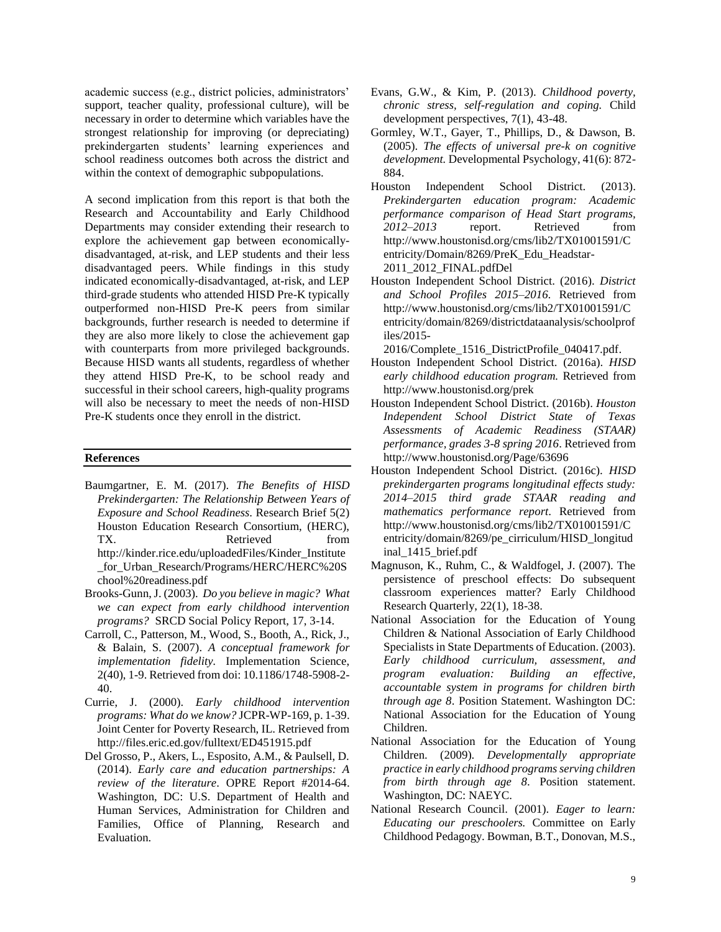academic success (e.g., district policies, administrators' support, teacher quality, professional culture), will be necessary in order to determine which variables have the strongest relationship for improving (or depreciating) prekindergarten students' learning experiences and school readiness outcomes both across the district and within the context of demographic subpopulations.

A second implication from this report is that both the Research and Accountability and Early Childhood Departments may consider extending their research to explore the achievement gap between economicallydisadvantaged, at-risk, and LEP students and their less disadvantaged peers. While findings in this study indicated economically-disadvantaged, at-risk, and LEP third-grade students who attended HISD Pre-K typically outperformed non-HISD Pre-K peers from similar backgrounds, further research is needed to determine if they are also more likely to close the achievement gap with counterparts from more privileged backgrounds. Because HISD wants all students, regardless of whether they attend HISD Pre-K, to be school ready and successful in their school careers, high-quality programs will also be necessary to meet the needs of non-HISD Pre-K students once they enroll in the district.

#### **References**

- Baumgartner, E. M. (2017). *The Benefits of HISD Prekindergarten: The Relationship Between Years of Exposure and School Readiness*. Research Brief 5(2) Houston Education Research Consortium, (HERC), TX. Retrieved from http://kinder.rice.edu/uploadedFiles/Kinder\_Institute \_for\_Urban\_Research/Programs/HERC/HERC%20S chool%20readiness.pdf
- Brooks-Gunn, J. (2003). *Do you believe in magic? What we can expect from early childhood intervention programs?* SRCD Social Policy Report, 17, 3-14.
- Carroll, C., Patterson, M., Wood, S., Booth, A., Rick, J., & Balain, S. (2007). *A conceptual framework for implementation fidelity.* Implementation Science, 2(40), 1-9. Retrieved from doi: 10.1186/1748-5908-2- 40.
- Currie, J. (2000). *Early childhood intervention programs: What do we know?* JCPR-WP-169, p. 1-39. Joint Center for Poverty Research, IL. Retrieved from http://files.eric.ed.gov/fulltext/ED451915.pdf
- Del Grosso, P., Akers, L., Esposito, A.M., & Paulsell, D. (2014). *Early care and education partnerships: A review of the literature*. OPRE Report #2014-64. Washington, DC: U.S. Department of Health and Human Services, Administration for Children and Families, Office of Planning, Research and Evaluation.
- Evans, G.W., & Kim, P. (2013). *Childhood poverty, chronic stress, self-regulation and coping.* Child development perspectives, 7(1), 43-48.
- Gormley, W.T., Gayer, T., Phillips, D., & Dawson, B. (2005). *The effects of universal pre-k on cognitive development.* Developmental Psychology, 41(6): 872- 884.
- Houston Independent School District. (2013). *Prekindergarten education program: Academic performance comparison of Head Start programs, 2012*–*2013* report. Retrieved from http://www.houstonisd.org/cms/lib2/TX01001591/C entricity/Domain/8269/PreK\_Edu\_Headstar-2011\_2012\_FINAL.pdfDel
- Houston Independent School District. (2016). *District and School Profiles 2015–2016.* Retrieved from http://www.houstonisd.org/cms/lib2/TX01001591/C entricity/domain/8269/districtdataanalysis/schoolprof iles/2015-
- 2016/Complete\_1516\_DistrictProfile\_040417.pdf.
- Houston Independent School District. (2016a). *HISD early childhood education program.* Retrieved from http://www.houstonisd.org/prek
- Houston Independent School District. (2016b). *Houston Independent School District State of Texas Assessments of Academic Readiness (STAAR) performance, grades 3-8 spring 2016*. Retrieved from http://www.houstonisd.org/Page/63696
- Houston Independent School District. (2016c). *HISD prekindergarten programs longitudinal effects study: 2014–2015 third grade STAAR reading and mathematics performance report*. Retrieved from http://www.houstonisd.org/cms/lib2/TX01001591/C entricity/domain/8269/pe\_cirriculum/HISD\_longitud inal\_1415\_brief.pdf
- Magnuson, K., Ruhm, C., & Waldfogel, J. (2007). The persistence of preschool effects: Do subsequent classroom experiences matter? Early Childhood Research Quarterly, 22(1), 18-38.
- National Association for the Education of Young Children & National Association of Early Childhood Specialists in State Departments of Education. (2003). *Early childhood curriculum, assessment, and program evaluation: Building an effective, accountable system in programs for children birth through age 8*. Position Statement. Washington DC: National Association for the Education of Young Children.
- National Association for the Education of Young Children. (2009). *Developmentally appropriate practice in early childhood programs serving children from birth through age 8*. Position statement. Washington, DC: NAEYC.
- National Research Council. (2001). *Eager to learn: Educating our preschoolers.* Committee on Early Childhood Pedagogy. Bowman, B.T., Donovan, M.S.,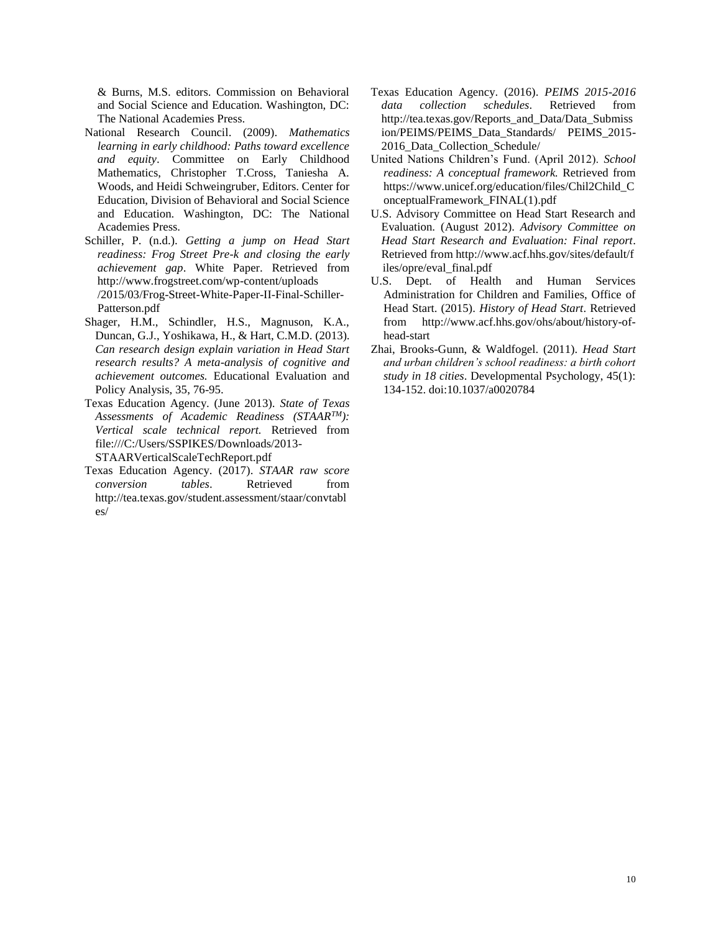& Burns, M.S. editors. Commission on Behavioral and Social Science and Education. Washington, DC: The National Academies Press.

- National Research Council. (2009). *Mathematics learning in early childhood: Paths toward excellence and equity*. Committee on Early Childhood Mathematics, Christopher T.Cross, Taniesha A. Woods, and Heidi Schweingruber, Editors. Center for Education, Division of Behavioral and Social Science and Education. Washington, DC: The National Academies Press.
- Schiller, P. (n.d.). *Getting a jump on Head Start readiness: Frog Street Pre-k and closing the early achievement gap*. White Paper. Retrieved from http://www.frogstreet.com/wp-content/uploads /2015/03/Frog-Street-White-Paper-II-Final-Schiller-Patterson.pdf
- Shager, H.M., Schindler, H.S., Magnuson, K.A., Duncan, G.J., Yoshikawa, H., & Hart, C.M.D. (2013). *Can research design explain variation in Head Start research results? A meta-analysis of cognitive and achievement outcomes.* Educational Evaluation and Policy Analysis, 35, 76-95.
- Texas Education Agency. (June 2013). *State of Texas Assessments of Academic Readiness (STAARTM): Vertical scale technical report.* Retrieved from file:///C:/Users/SSPIKES/Downloads/2013- STAARVerticalScaleTechReport.pdf
- Texas Education Agency. (2017). *STAAR raw score conversion tables*. Retrieved from http://tea.texas.gov/student.assessment/staar/convtabl es/
- Texas Education Agency. (2016). *PEIMS 2015-2016 data collection schedules*. Retrieved from http://tea.texas.gov/Reports\_and\_Data/Data\_Submiss ion/PEIMS/PEIMS\_Data\_Standards/ PEIMS\_2015- 2016 Data Collection Schedule/
- United Nations Children's Fund. (April 2012). *School readiness: A conceptual framework.* Retrieved from https://www.unicef.org/education/files/Chil2Child\_C onceptualFramework\_FINAL(1).pdf
- U.S. Advisory Committee on Head Start Research and Evaluation. (August 2012). *Advisory Committee on Head Start Research and Evaluation: Final report*. Retrieved from http://www.acf.hhs.gov/sites/default/f iles/opre/eval\_final.pdf
- U.S. Dept. of Health and Human Services Administration for Children and Families, Office of Head Start. (2015). *History of Head Start*. Retrieved from http://www.acf.hhs.gov/ohs/about/history-ofhead-start
- Zhai, Brooks-Gunn, & Waldfogel. (2011). *Head Start and urban children's school readiness: a birth cohort study in 18 cities*. Developmental Psychology, 45(1): 134-152. doi:10.1037/a0020784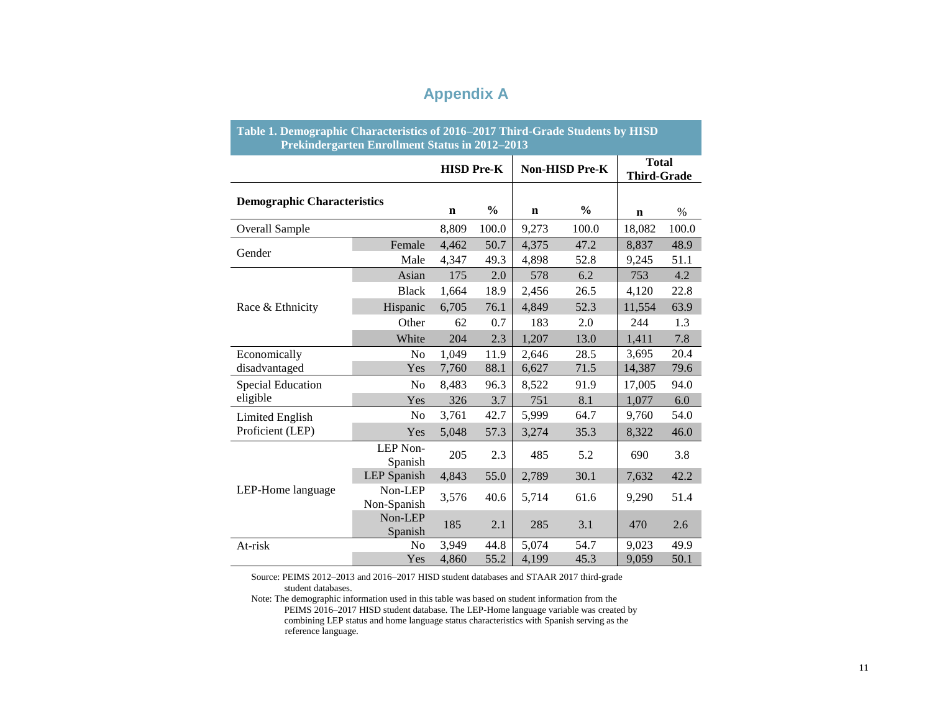## **Appendix A**

| Table 1. Demographic Characteristics of 2016–2017 Third-Grade Students by HISD | Prekindergarten Enrollment Status in 2012-2013 |                   |               |             |                |                                    |       |
|--------------------------------------------------------------------------------|------------------------------------------------|-------------------|---------------|-------------|----------------|------------------------------------|-------|
|                                                                                |                                                | <b>HISD Pre-K</b> |               |             | Non-HISD Pre-K | <b>Total</b><br><b>Third-Grade</b> |       |
| <b>Demographic Characteristics</b>                                             |                                                | $\mathbf n$       | $\frac{6}{6}$ | $\mathbf n$ | $\frac{6}{6}$  | $\mathbf n$                        | $\%$  |
| <b>Overall Sample</b>                                                          |                                                | 8,809             | 100.0         | 9,273       | 100.0          | 18,082                             | 100.0 |
|                                                                                | Female                                         | 4,462             | 50.7          | 4,375       | 47.2           | 8,837                              | 48.9  |
| Gender                                                                         | Male                                           | 4,347             | 49.3          | 4,898       | 52.8           | 9,245                              | 51.1  |
|                                                                                | Asian                                          | 175               | 2.0           | 578         | 6.2            | 753                                | 4.2   |
|                                                                                | <b>Black</b>                                   | 1,664             | 18.9          | 2,456       | 26.5           | 4,120                              | 22.8  |
| Race & Ethnicity                                                               | Hispanic                                       | 6,705             | 76.1          | 4,849       | 52.3           | 11,554                             | 63.9  |
|                                                                                | Other                                          | 62                | 0.7           | 183         | 2.0            | 244                                | 1.3   |
|                                                                                | White                                          | 204               | 2.3           | 1,207       | 13.0           | 1,411                              | 7.8   |
| Economically                                                                   | N <sub>0</sub>                                 | 1,049             | 11.9          | 2,646       | 28.5           | 3,695                              | 20.4  |
| disadvantaged                                                                  | Yes                                            | 7,760             | 88.1          | 6,627       | 71.5           | 14,387                             | 79.6  |
| <b>Special Education</b>                                                       | N <sub>o</sub>                                 | 8,483             | 96.3          | 8,522       | 91.9           | 17,005                             | 94.0  |
| eligible                                                                       | Yes                                            | 326               | 3.7           | 751         | 8.1            | 1,077                              | 6.0   |
| Limited English                                                                | N <sub>0</sub>                                 | 3,761             | 42.7          | 5,999       | 64.7           | 9,760                              | 54.0  |
| Proficient (LEP)                                                               | Yes                                            | 5,048             | 57.3          | 3,274       | 35.3           | 8,322                              | 46.0  |
|                                                                                | LEP Non-<br>Spanish                            | 205               | 2.3           | 485         | 5.2            | 690                                | 3.8   |
|                                                                                | <b>LEP</b> Spanish                             | 4,843             | 55.0          | 2,789       | 30.1           | 7,632                              | 42.2  |
| LEP-Home language                                                              | Non-LEP<br>Non-Spanish                         | 3,576             | 40.6          | 5,714       | 61.6           | 9,290                              | 51.4  |
|                                                                                | Non-LEP<br>Spanish                             | 185               | 2.1           | 285         | 3.1            | 470                                | 2.6   |
| At-risk                                                                        | N <sub>o</sub>                                 | 3,949             | 44.8          | 5,074       | 54.7           | 9,023                              | 49.9  |
|                                                                                | Yes                                            | 4,860             | 55.2          | 4,199       | 45.3           | 9,059                              | 50.1  |

Source: PEIMS 2012–2013 and 2016–2017 HISD student databases and STAAR 2017 third-grade student databases.

PEIMS 2016–2017 HISD student database. The LEP-Home language variable was created by Note: The demographic information used in this table was based on student information from the combining LEP status and home language status characteristics with Spanish serving as the reference language.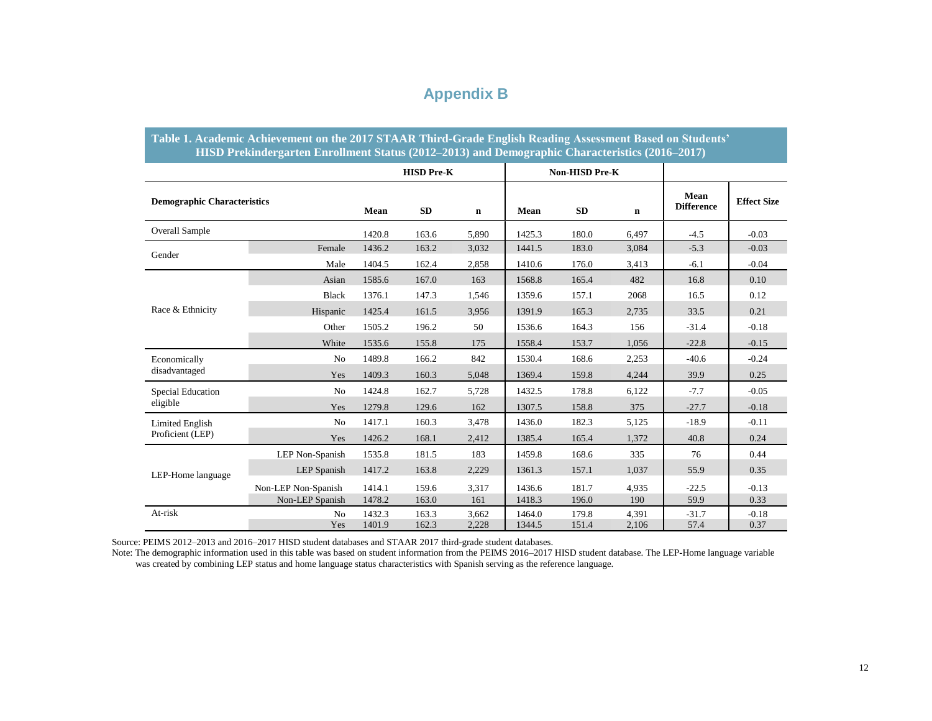## **Appendix B**

|                                    | Table 1. Academic Achievement on the 2017 STAAR Third-Grade English Reading Assessment Based on Students'<br>HISD Prekindergarten Enrollment Status (2012–2013) and Demographic Characteristics (2016–2017) |        |                   |             |        |                |             |                           |                    |
|------------------------------------|-------------------------------------------------------------------------------------------------------------------------------------------------------------------------------------------------------------|--------|-------------------|-------------|--------|----------------|-------------|---------------------------|--------------------|
|                                    |                                                                                                                                                                                                             |        | <b>HISD Pre-K</b> |             |        | Non-HISD Pre-K |             |                           |                    |
| <b>Demographic Characteristics</b> |                                                                                                                                                                                                             | Mean   | SD                | $\mathbf n$ | Mean   | <b>SD</b>      | $\mathbf n$ | Mean<br><b>Difference</b> | <b>Effect Size</b> |
| <b>Overall Sample</b>              |                                                                                                                                                                                                             | 1420.8 | 163.6             | 5,890       | 1425.3 | 180.0          | 6,497       | $-4.5$                    | $-0.03$            |
| Gender                             | Female                                                                                                                                                                                                      | 1436.2 | 163.2             | 3,032       | 1441.5 | 183.0          | 3,084       | $-5.3$                    | $-0.03$            |
|                                    | Male                                                                                                                                                                                                        | 1404.5 | 162.4             | 2,858       | 1410.6 | 176.0          | 3,413       | $-6.1$                    | $-0.04$            |
|                                    | Asian                                                                                                                                                                                                       | 1585.6 | 167.0             | 163         | 1568.8 | 165.4          | 482         | 16.8                      | 0.10               |
| Race & Ethnicity                   | <b>Black</b>                                                                                                                                                                                                | 1376.1 | 147.3             | 1,546       | 1359.6 | 157.1          | 2068        | 16.5                      | 0.12               |
|                                    | Hispanic                                                                                                                                                                                                    | 1425.4 | 161.5             | 3,956       | 1391.9 | 165.3          | 2,735       | 33.5                      | 0.21               |
|                                    | Other                                                                                                                                                                                                       | 1505.2 | 196.2             | 50          | 1536.6 | 164.3          | 156         | $-31.4$                   | $-0.18$            |
|                                    | White                                                                                                                                                                                                       | 1535.6 | 155.8             | 175         | 1558.4 | 153.7          | 1,056       | $-22.8$                   | $-0.15$            |
| Economically                       | No                                                                                                                                                                                                          | 1489.8 | 166.2             | 842         | 1530.4 | 168.6          | 2,253       | $-40.6$                   | $-0.24$            |
| disadvantaged                      | Yes                                                                                                                                                                                                         | 1409.3 | 160.3             | 5,048       | 1369.4 | 159.8          | 4,244       | 39.9                      | 0.25               |
| Special Education                  | No                                                                                                                                                                                                          | 1424.8 | 162.7             | 5,728       | 1432.5 | 178.8          | 6,122       | $-7.7$                    | $-0.05$            |
| eligible                           | Yes                                                                                                                                                                                                         | 1279.8 | 129.6             | 162         | 1307.5 | 158.8          | 375         | $-27.7$                   | $-0.18$            |
| Limited English                    | No                                                                                                                                                                                                          | 1417.1 | 160.3             | 3,478       | 1436.0 | 182.3          | 5,125       | $-18.9$                   | $-0.11$            |
| Proficient (LEP)                   | Yes                                                                                                                                                                                                         | 1426.2 | 168.1             | 2,412       | 1385.4 | 165.4          | 1,372       | 40.8                      | 0.24               |
|                                    | LEP Non-Spanish                                                                                                                                                                                             | 1535.8 | 181.5             | 183         | 1459.8 | 168.6          | 335         | 76                        | 0.44               |
| LEP-Home language                  | LEP Spanish                                                                                                                                                                                                 | 1417.2 | 163.8             | 2,229       | 1361.3 | 157.1          | 1,037       | 55.9                      | 0.35               |
|                                    | Non-LEP Non-Spanish                                                                                                                                                                                         | 1414.1 | 159.6             | 3,317       | 1436.6 | 181.7          | 4,935       | $-22.5$                   | $-0.13$            |
|                                    | Non-LEP Spanish                                                                                                                                                                                             | 1478.2 | 163.0             | 161         | 1418.3 | 196.0          | 190         | 59.9                      | 0.33               |
| At-risk                            | N <sub>o</sub>                                                                                                                                                                                              | 1432.3 | 163.3             | 3,662       | 1464.0 | 179.8          | 4,391       | $-31.7$                   | $-0.18$            |
|                                    | Yes                                                                                                                                                                                                         | 1401.9 | 162.3             | 2,228       | 1344.5 | 151.4          | 2,106       | 57.4                      | 0.37               |

Source: PEIMS 2012–2013 and 2016–2017 HISD student databases and STAAR 2017 third-grade student databases.

Note: The demographic information used in this table was based on student information from the PEIMS 2016–2017 HISD student database. The LEP-Home language variable was created by combining LEP status and home language status characteristics with Spanish serving as the reference language.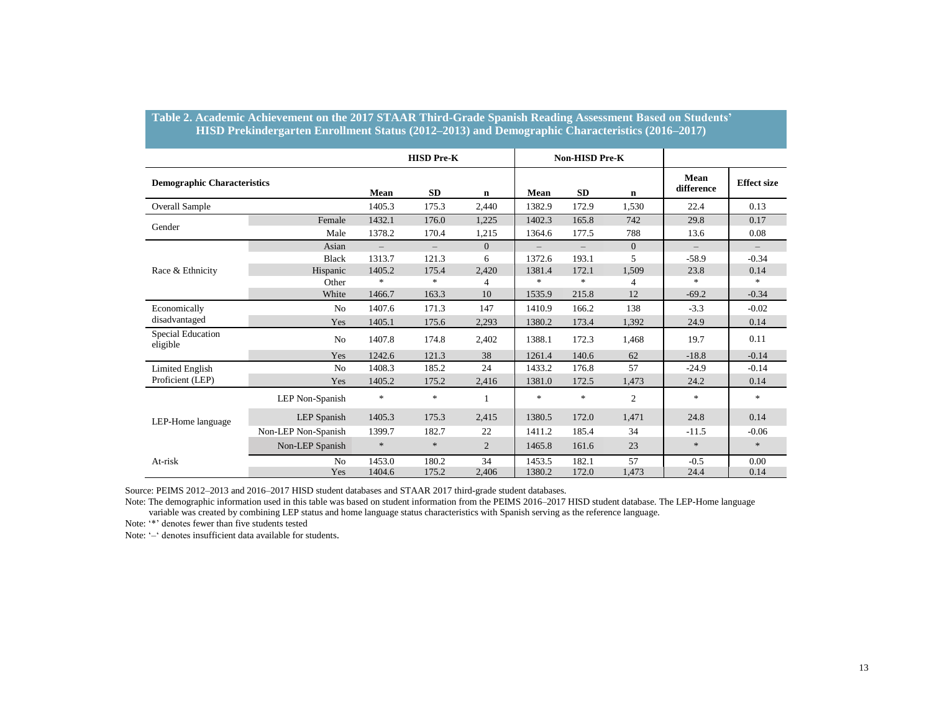|                                    |                     |                                    | <b>HISD Pre-K</b>      |                         |                  | <b>Non-HISD Pre-K</b>             |                         |                              |                                     |
|------------------------------------|---------------------|------------------------------------|------------------------|-------------------------|------------------|-----------------------------------|-------------------------|------------------------------|-------------------------------------|
| <b>Demographic Characteristics</b> |                     | Mean                               | <b>SD</b>              | $\mathbf n$             | Mean             | <b>SD</b>                         | $\mathbf n$             | Mean<br>difference           | <b>Effect size</b>                  |
| <b>Overall Sample</b>              |                     | 1405.3                             | 175.3                  | 2,440                   | 1382.9           | 172.9                             | 1,530                   | 22.4                         | 0.13                                |
| Gender                             | Female              | 1432.1                             | 176.0                  | 1.225                   | 1402.3           | 165.8                             | 742                     | 29.8                         | 0.17                                |
|                                    | Male<br>Asian       | 1378.2                             | 170.4                  | 1,215<br>$\overline{0}$ | 1364.6           | 177.5                             | 788<br>$\overline{0}$   | 13.6                         | 0.08                                |
|                                    | <b>Black</b>        | $\overline{\phantom{m}}$<br>1313.7 | $-$<br>121.3           | 6                       | 1372.6           | $\overline{\phantom{0}}$<br>193.1 | 5                       | $\qquad \qquad -$<br>$-58.9$ | $\overline{\phantom{m}}$<br>$-0.34$ |
| Race & Ethnicity                   | Hispanic<br>Other   | 1405.2<br>$\ast$                   | 175.4<br>$\frac{1}{2}$ | 2,420<br>$\overline{4}$ | 1381.4<br>$\ast$ | 172.1<br>$\ast$                   | 1,509<br>$\overline{4}$ | 23.8<br>$\ast$               | 0.14<br>$\ast$                      |
|                                    | White               | 1466.7                             | 163.3                  | 10                      | 1535.9           | 215.8                             | 12                      | $-69.2$                      | $-0.34$                             |
| Economically                       | N <sub>0</sub>      | 1407.6                             | 171.3                  | 147                     | 1410.9           | 166.2                             | 138                     | $-3.3$                       | $-0.02$                             |
| disadvantaged                      | Yes                 | 1405.1                             | 175.6                  | 2,293                   | 1380.2           | 173.4                             | 1,392                   | 24.9                         | 0.14                                |
| Special Education<br>eligible      | N <sub>0</sub>      | 1407.8                             | 174.8                  | 2,402                   | 1388.1           | 172.3                             | 1,468                   | 19.7                         | 0.11                                |
|                                    | Yes                 | 1242.6                             | 121.3                  | 38                      | 1261.4           | 140.6                             | 62                      | $-18.8$                      | $-0.14$                             |
| <b>Limited English</b>             | N <sub>0</sub>      | 1408.3                             | 185.2                  | 24                      | 1433.2           | 176.8                             | 57                      | $-24.9$                      | $-0.14$                             |
| Proficient (LEP)                   | Yes                 | 1405.2                             | 175.2                  | 2,416                   | 1381.0           | 172.5                             | 1,473                   | 24.2                         | 0.14                                |
|                                    | LEP Non-Spanish     | $*$                                | $\frac{1}{2}$          | $\mathbf{1}$            | $*$              | $\ast$                            | $\overline{c}$          | $\ast$                       | $\ast$                              |
| LEP-Home language                  | LEP Spanish         | 1405.3                             | 175.3                  | 2,415                   | 1380.5           | 172.0                             | 1,471                   | 24.8                         | 0.14                                |
|                                    | Non-LEP Non-Spanish | 1399.7                             | 182.7                  | 22                      | 1411.2           | 185.4                             | 34                      | $-11.5$                      | $-0.06$                             |
|                                    | Non-LEP Spanish     | $\ast$                             | $\ast$                 | $\overline{2}$          | 1465.8           | 161.6                             | 23                      | $\ast$                       | $\ast$                              |
| At-risk                            | N <sub>o</sub>      | 1453.0                             | 180.2                  | 34                      | 1453.5           | 182.1                             | 57                      | $-0.5$                       | 0.00                                |
|                                    | Yes                 | 1404.6                             | 175.2                  | 2,406                   | 1380.2           | 172.0                             | 1,473                   | 24.4                         | 0.14                                |

**Table 2. Academic Achievement on the 2017 STAAR Third-Grade Spanish Reading Assessment Based on Students' HISD Prekindergarten Enrollment Status (2012–2013) and Demographic Characteristics (2016–2017)**

Source: PEIMS 2012–2013 and 2016–2017 HISD student databases and STAAR 2017 third-grade student databases.

Note: The demographic information used in this table was based on student information from the PEIMS 2016–2017 HISD student database. The LEP-Home language variable was created by combining LEP status and home language status characteristics with Spanish serving as the reference language.

Note: '\*' denotes fewer than five students tested

Note: '–' denotes insufficient data available for students.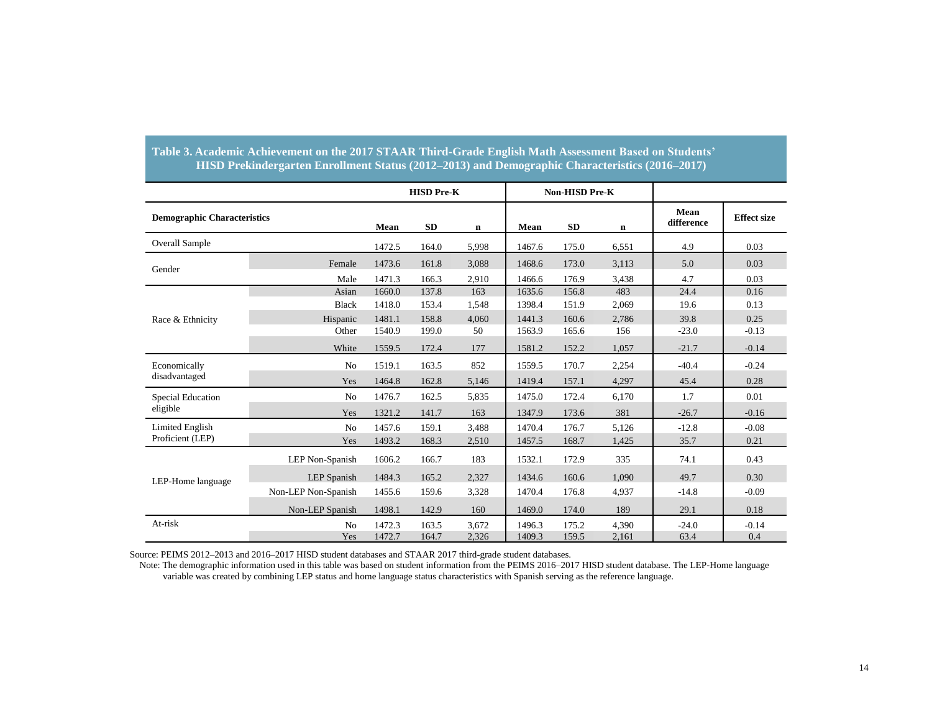|                                    |                     | <b>HISD Pre-K</b> |           | <b>Non-HISD Pre-K</b> |        |           |             |                    |                    |
|------------------------------------|---------------------|-------------------|-----------|-----------------------|--------|-----------|-------------|--------------------|--------------------|
| <b>Demographic Characteristics</b> |                     | Mean              | <b>SD</b> | $\mathbf n$           | Mean   | <b>SD</b> | $\mathbf n$ | Mean<br>difference | <b>Effect size</b> |
| <b>Overall Sample</b>              |                     | 1472.5            | 164.0     | 5,998                 | 1467.6 | 175.0     | 6,551       | 4.9                | 0.03               |
| Gender                             | Female              | 1473.6            | 161.8     | 3,088                 | 1468.6 | 173.0     | 3,113       | 5.0                | 0.03               |
|                                    | Male                | 1471.3            | 166.3     | 2,910                 | 1466.6 | 176.9     | 3,438       | 4.7                | 0.03               |
|                                    | Asian               | 1660.0            | 137.8     | 163                   | 1635.6 | 156.8     | 483         | 24.4               | 0.16               |
|                                    | <b>Black</b>        | 1418.0            | 153.4     | 1,548                 | 1398.4 | 151.9     | 2,069       | 19.6               | 0.13               |
| Race & Ethnicity                   | Hispanic            | 1481.1            | 158.8     | 4.060                 | 1441.3 | 160.6     | 2.786       | 39.8               | 0.25               |
|                                    | Other               | 1540.9            | 199.0     | 50                    | 1563.9 | 165.6     | 156         | $-23.0$            | $-0.13$            |
|                                    | White               | 1559.5            | 172.4     | 177                   | 1581.2 | 152.2     | 1,057       | $-21.7$            | $-0.14$            |
| Economically                       | N <sub>o</sub>      | 1519.1            | 163.5     | 852                   | 1559.5 | 170.7     | 2,254       | $-40.4$            | $-0.24$            |
| disadvantaged                      | Yes                 | 1464.8            | 162.8     | 5,146                 | 1419.4 | 157.1     | 4,297       | 45.4               | 0.28               |
| <b>Special Education</b>           | N <sub>o</sub>      | 1476.7            | 162.5     | 5,835                 | 1475.0 | 172.4     | 6.170       | 1.7                | 0.01               |
| eligible                           | Yes                 | 1321.2            | 141.7     | 163                   | 1347.9 | 173.6     | 381         | $-26.7$            | $-0.16$            |
| <b>Limited English</b>             | N <sub>o</sub>      | 1457.6            | 159.1     | 3,488                 | 1470.4 | 176.7     | 5.126       | $-12.8$            | $-0.08$            |
| Proficient (LEP)                   | Yes                 | 1493.2            | 168.3     | 2,510                 | 1457.5 | 168.7     | 1,425       | 35.7               | 0.21               |
|                                    | LEP Non-Spanish     | 1606.2            | 166.7     | 183                   | 1532.1 | 172.9     | 335         | 74.1               | 0.43               |
| LEP-Home language                  | LEP Spanish         | 1484.3            | 165.2     | 2,327                 | 1434.6 | 160.6     | 1,090       | 49.7               | 0.30               |
|                                    | Non-LEP Non-Spanish | 1455.6            | 159.6     | 3,328                 | 1470.4 | 176.8     | 4,937       | $-14.8$            | $-0.09$            |
|                                    | Non-LEP Spanish     | 1498.1            | 142.9     | 160                   | 1469.0 | 174.0     | 189         | 29.1               | 0.18               |
| At-risk                            | N <sub>0</sub>      | 1472.3            | 163.5     | 3,672                 | 1496.3 | 175.2     | 4,390       | $-24.0$            | $-0.14$            |
|                                    | Yes                 | 1472.7            | 164.7     | 2,326                 | 1409.3 | 159.5     | 2,161       | 63.4               | 0.4                |

#### **Table 3. Academic Achievement on the 2017 STAAR Third-Grade English Math Assessment Based on Students' HISD Prekindergarten Enrollment Status (2012–2013) and Demographic Characteristics (2016–2017)**

Source: PEIMS 2012–2013 and 2016–2017 HISD student databases and STAAR 2017 third-grade student databases.

 Note: The demographic information used in this table was based on student information from the PEIMS 2016–2017 HISD student database. The LEP-Home language variable was created by combining LEP status and home language status characteristics with Spanish serving as the reference language.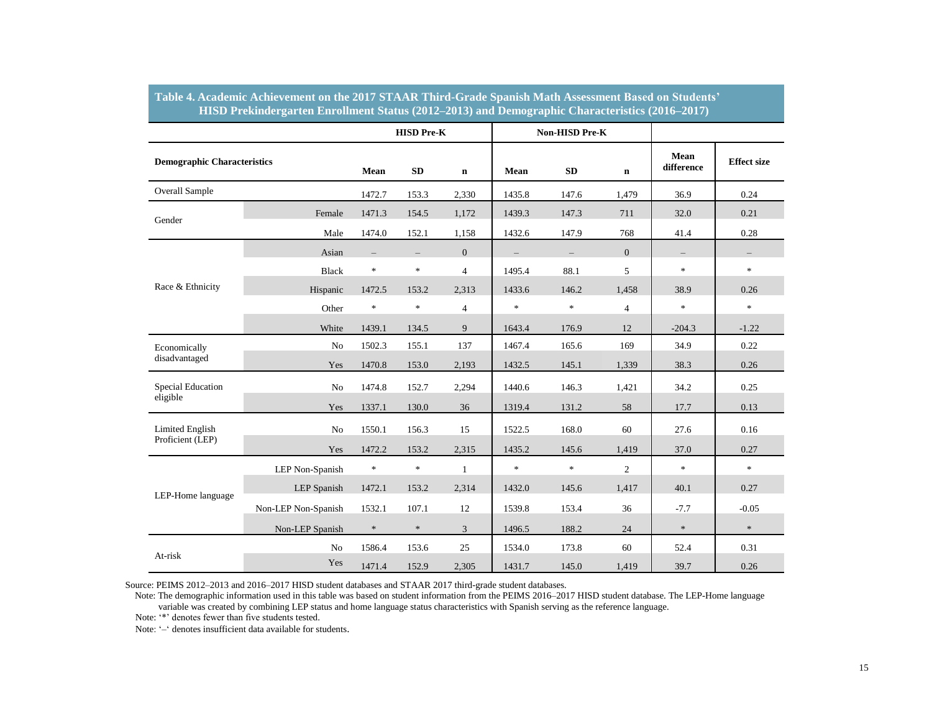|                                    |                     |                          | <b>HISD Pre-K</b> |                |                   | <b>Non-HISD Pre-K</b> |                |                          |                          |
|------------------------------------|---------------------|--------------------------|-------------------|----------------|-------------------|-----------------------|----------------|--------------------------|--------------------------|
| <b>Demographic Characteristics</b> |                     | Mean                     | SD                | $\mathbf n$    | Mean              | ${\bf SD}$            | $\mathbf n$    | Mean<br>difference       | <b>Effect size</b>       |
| <b>Overall Sample</b>              |                     | 1472.7                   | 153.3             | 2,330          | 1435.8            | 147.6                 | 1,479          | 36.9                     | 0.24                     |
| Gender                             | Female              | 1471.3                   | 154.5             | 1,172          | 1439.3            | 147.3                 | 711            | 32.0                     | 0.21                     |
|                                    | Male                | 1474.0                   | 152.1             | 1,158          | 1432.6            | 147.9                 | 768            | 41.4                     | 0.28                     |
|                                    | Asian               | $\overline{\phantom{m}}$ | $\equiv$          | $\overline{0}$ | $\qquad \qquad -$ | $\equiv$              | $\overline{0}$ | $\overline{\phantom{0}}$ | $\overline{\phantom{m}}$ |
|                                    | <b>Black</b>        | $\frac{1}{25}$           | $\ast$            | $\overline{4}$ | 1495.4            | 88.1                  | 5              | $\ast$                   | $\ast$                   |
| Race & Ethnicity                   | Hispanic            | 1472.5                   | 153.2             | 2,313          | 1433.6            | 146.2                 | 1,458          | 38.9                     | 0.26                     |
|                                    | Other               | $\ast$                   | $\ast$            | $\overline{4}$ | $\ast$            | $\star$               | $\overline{4}$ | $\ast$                   | $\ast$                   |
|                                    | White               | 1439.1                   | 134.5             | 9              | 1643.4            | 176.9                 | 12             | $-204.3$                 | $-1.22$                  |
| Economically                       | No                  | 1502.3                   | 155.1             | 137            | 1467.4            | 165.6                 | 169            | 34.9                     | 0.22                     |
| disadvantaged                      | Yes                 | 1470.8                   | 153.0             | 2,193          | 1432.5            | 145.1                 | 1,339          | 38.3                     | 0.26                     |
| <b>Special Education</b>           | No                  | 1474.8                   | 152.7             | 2,294          | 1440.6            | 146.3                 | 1,421          | 34.2                     | 0.25                     |
| eligible                           | Yes                 | 1337.1                   | 130.0             | 36             | 1319.4            | 131.2                 | 58             | 17.7                     | 0.13                     |
| <b>Limited English</b>             | No                  | 1550.1                   | 156.3             | 15             | 1522.5            | 168.0                 | 60             | 27.6                     | 0.16                     |
| Proficient (LEP)                   | Yes                 | 1472.2                   | 153.2             | 2,315          | 1435.2            | 145.6                 | 1,419          | 37.0                     | 0.27                     |
|                                    | LEP Non-Spanish     | $\frac{1}{25}$           | $\ast$            | $\mathbf{1}$   | $\frac{1}{2}$     | $\pm$                 | $\overline{c}$ | $\ast$                   | $\ast$                   |
| LEP-Home language                  | <b>LEP</b> Spanish  | 1472.1                   | 153.2             | 2,314          | 1432.0            | 145.6                 | 1,417          | 40.1                     | 0.27                     |
|                                    | Non-LEP Non-Spanish | 1532.1                   | 107.1             | 12             | 1539.8            | 153.4                 | 36             | $-7.7$                   | $-0.05$                  |
|                                    | Non-LEP Spanish     | $\ast$                   | $\ast$            | 3              | 1496.5            | 188.2                 | 24             | $\ast$                   | $\ast$                   |
|                                    | No                  | 1586.4                   | 153.6             | 25             | 1534.0            | 173.8                 | 60             | 52.4                     | 0.31                     |
| At-risk                            | Yes                 | 1471.4                   | 152.9             | 2,305          | 1431.7            | 145.0                 | 1,419          | 39.7                     | 0.26                     |

#### **Table 4. Academic Achievement on the 2017 STAAR Third-Grade Spanish Math Assessment Based on Students' HISD Prekindergarten Enrollment Status (2012–2013) and Demographic Characteristics (2016–2017)**

Source: PEIMS 2012–2013 and 2016–2017 HISD student databases and STAAR 2017 third-grade student databases.

variable was created by combining LEP status and home language status characteristics with Spanish serving as the reference language. Note: The demographic information used in this table was based on student information from the PEIMS 2016–2017 HISD student database. The LEP-Home language

Note: '\*' denotes fewer than five students tested.

Note: '–' denotes insufficient data available for students.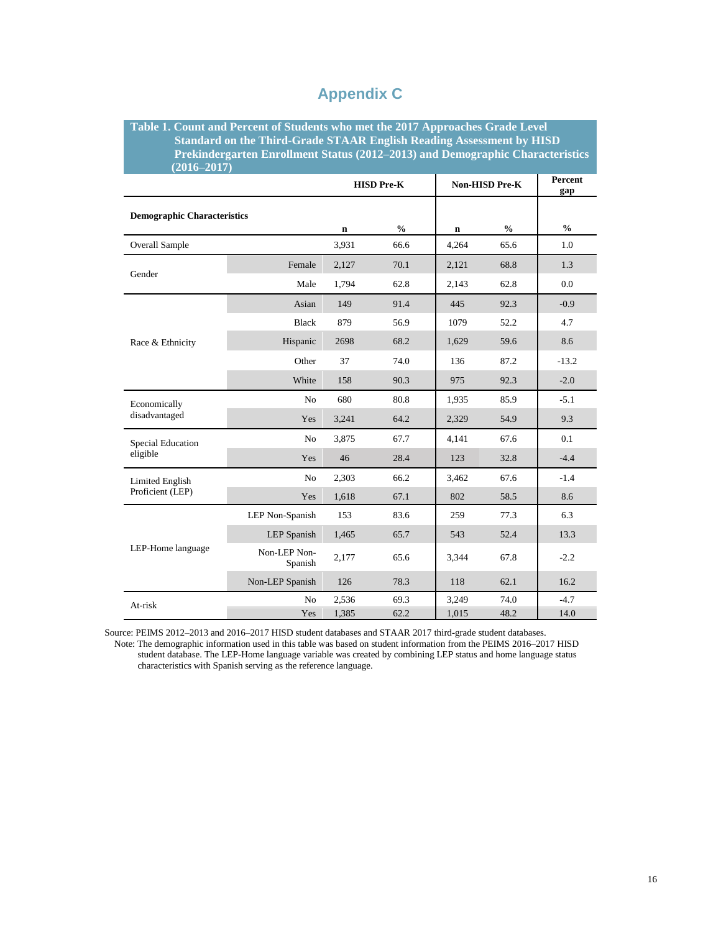| $(2016 - 2017)$                    | Table 1. Count and Percent of Students who met the 2017 Approaches Grade Level<br><b>Standard on the Third-Grade STAAR English Reading Assessment by HISD</b><br>Prekindergarten Enrollment Status (2012–2013) and Demographic Characteristics |             |                   |                |                |               |
|------------------------------------|------------------------------------------------------------------------------------------------------------------------------------------------------------------------------------------------------------------------------------------------|-------------|-------------------|----------------|----------------|---------------|
|                                    |                                                                                                                                                                                                                                                |             | <b>HISD Pre-K</b> | Non-HISD Pre-K | Percent<br>gap |               |
| <b>Demographic Characteristics</b> |                                                                                                                                                                                                                                                | $\mathbf n$ | $\frac{0}{0}$     | n              | $\frac{0}{0}$  | $\frac{0}{0}$ |
| <b>Overall Sample</b>              |                                                                                                                                                                                                                                                | 3,931       | 66.6              | 4,264          | 65.6           | 1.0           |
| Gender                             | Female                                                                                                                                                                                                                                         | 2,127       | 70.1              | 2,121          | 68.8           | 1.3           |
|                                    | Male                                                                                                                                                                                                                                           | 1,794       | 62.8              | 2,143          | 62.8           | 0.0           |
|                                    | Asian                                                                                                                                                                                                                                          | 149         | 91.4              | 445            | 92.3           | $-0.9$        |
| Race & Ethnicity                   | <b>Black</b>                                                                                                                                                                                                                                   | 879         | 56.9              | 1079           | 52.2           | 4.7           |
|                                    | Hispanic                                                                                                                                                                                                                                       | 2698        | 68.2              | 1,629          | 59.6           | 8.6           |
|                                    | Other                                                                                                                                                                                                                                          | 37          | 74.0              | 136            | 87.2           | $-13.2$       |
|                                    | White                                                                                                                                                                                                                                          | 158         | 90.3              | 975            | 92.3           | $-2.0$        |
| Economically                       | No                                                                                                                                                                                                                                             | 680         | 80.8              | 1,935          | 85.9           | $-5.1$        |
| disadvantaged                      | Yes                                                                                                                                                                                                                                            | 3,241       | 64.2              | 2,329          | 54.9           | 9.3           |
| Special Education                  | No                                                                                                                                                                                                                                             | 3,875       | 67.7              | 4,141          | 67.6           | 0.1           |
| eligible                           | Yes                                                                                                                                                                                                                                            | 46          | 28.4              | 123            | 32.8           | $-4.4$        |
| Limited English                    | No                                                                                                                                                                                                                                             | 2,303       | 66.2              | 3,462          | 67.6           | $-1.4$        |
| Proficient (LEP)                   | Yes                                                                                                                                                                                                                                            | 1,618       | 67.1              | 802            | 58.5           | 8.6           |
|                                    | LEP Non-Spanish                                                                                                                                                                                                                                | 153         | 83.6              | 259            | 77.3           | 6.3           |
|                                    | <b>LEP</b> Spanish                                                                                                                                                                                                                             | 1,465       | 65.7              | 543            | 52.4           | 13.3          |
| LEP-Home language                  | Non-LEP Non-<br>Spanish                                                                                                                                                                                                                        | 2,177       | 65.6              | 3,344          | 67.8           | $-2.2$        |
|                                    | Non-LEP Spanish                                                                                                                                                                                                                                | 126         | 78.3              | 118            | 62.1           | 16.2          |
| At-risk                            | N <sub>o</sub>                                                                                                                                                                                                                                 | 2,536       | 69.3              | 3,249          | 74.0           | $-4.7$        |
|                                    | Yes                                                                                                                                                                                                                                            | 1,385       | 62.2              | 1,015          | 48.2           | 14.0          |

## **Appendix C**

Source: PEIMS 2012–2013 and 2016–2017 HISD student databases and STAAR 2017 third-grade student databases.

 Note: The demographic information used in this table was based on student information from the PEIMS 2016–2017 HISD student database. The LEP-Home language variable was created by combining LEP status and home language status characteristics with Spanish serving as the reference language.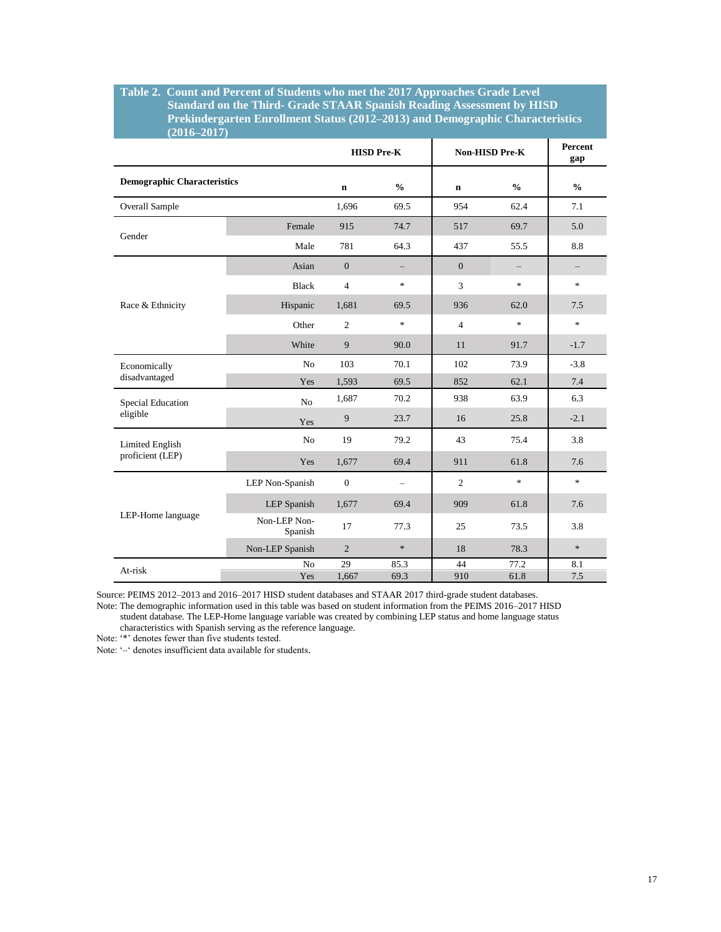#### **Table 2. Count and Percent of Students who met the 2017 Approaches Grade Level Standard on the Third- Grade STAAR Spanish Reading Assessment by HISD Prekindergarten Enrollment Status (2012–2013) and Demographic Characteristics**   $(2016-2017)$

| <b>Demographic Characteristics</b> | $\mathbf n$    | $\frac{0}{0}$                     |                |                                   |               |
|------------------------------------|----------------|-----------------------------------|----------------|-----------------------------------|---------------|
|                                    |                |                                   | $\mathbf n$    | $\frac{0}{0}$                     | $\frac{0}{0}$ |
|                                    | 1,696          | 69.5                              | 954            | 62.4                              | 7.1           |
| Female                             | 915            | 74.7                              | 517            | 69.7                              | 5.0           |
| Male                               | 781            | 64.3                              | 437            | 55.5                              | 8.8           |
| Asian                              | $\overline{0}$ |                                   | $\overline{0}$ |                                   |               |
| <b>Black</b>                       | $\overline{4}$ | $\frac{d\mathbf{r}}{d\mathbf{r}}$ | 3              | $\frac{d\mathbf{x}}{d\mathbf{x}}$ | $\frac{1}{2}$ |
| Hispanic                           | 1,681          | 69.5                              | 936            | 62.0                              | 7.5           |
| Other                              | 2              | $\frac{d\mathbf{r}}{d\mathbf{r}}$ | $\overline{4}$ | $\frac{d\mathbf{r}}{d\mathbf{r}}$ | $\frac{1}{2}$ |
| White                              | 9              | 90.0                              | 11             | 91.7                              | $-1.7$        |
| N <sub>o</sub>                     | 103            | 70.1                              | 102            | 73.9                              | $-3.8$        |
| Yes                                | 1,593          | 69.5                              | 852            | 62.1                              | 7.4           |
| N <sub>o</sub>                     | 1,687          | 70.2                              | 938            | 63.9                              | 6.3           |
| Yes                                | 9              | 23.7                              | 16             | 25.8                              | $-2.1$        |
| N <sub>o</sub>                     | 19             | 79.2                              | 43             | 75.4                              | 3.8           |
| Yes                                | 1,677          | 69.4                              | 911            | 61.8                              | 7.6           |
| LEP Non-Spanish                    | $\overline{0}$ | $\overline{\phantom{0}}$          | $\overline{2}$ | $\ast$                            | $\ast$        |
| <b>LEP</b> Spanish                 | 1,677          | 69.4                              | 909            | 61.8                              | 7.6           |
| Non-LEP Non-<br>Spanish            | 17             | 77.3                              | 25             | 73.5                              | 3.8           |
| Non-LEP Spanish                    | $\overline{2}$ | $\ast$                            | 18             | 78.3                              | $\ast$        |
| N <sub>o</sub>                     | 29             | 85.3                              | 44             | 77.2                              | 8.1<br>7.5    |
|                                    | Yes            | 1,667                             | 69.3           | 910                               | 61.8          |

Source: PEIMS 2012–2013 and 2016–2017 HISD student databases and STAAR 2017 third-grade student databases.

Note: The demographic information used in this table was based on student information from the PEIMS 2016–2017 HISD student database. The LEP-Home language variable was created by combining LEP status and home language status

characteristics with Spanish serving as the reference language.

Note: '\*' denotes fewer than five students tested.

Note: '–' denotes insufficient data available for students.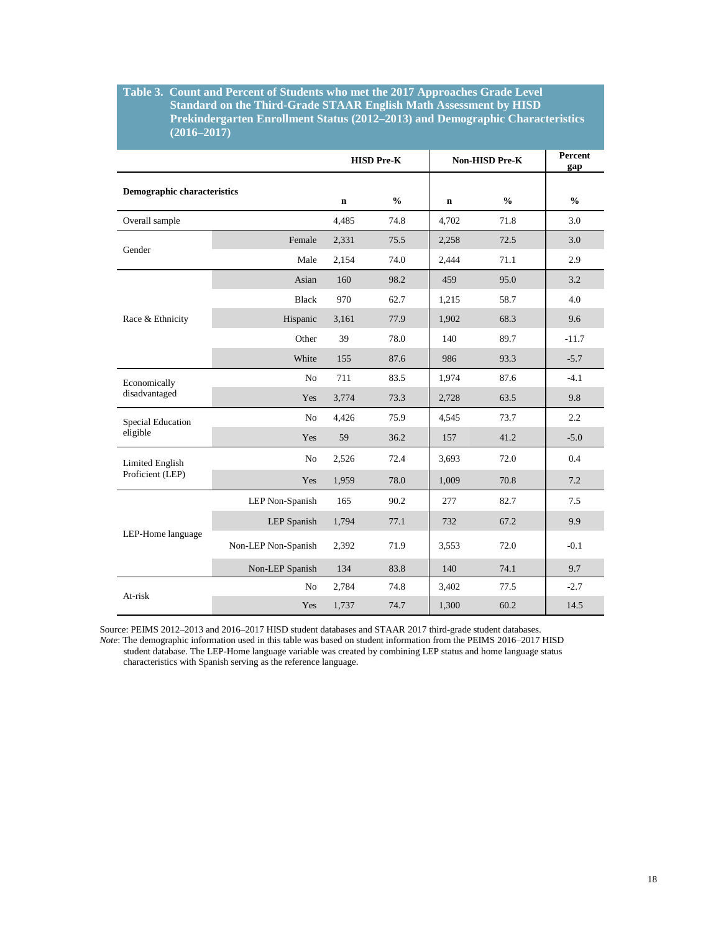#### **Table 3. Count and Percent of Students who met the 2017 Approaches Grade Level Standard on the Third-Grade STAAR English Math Assessment by HISD Prekindergarten Enrollment Status (2012–2013) and Demographic Characteristics (2016–2017)**

|                                    |                     | <b>HISD Pre-K</b> |               | Non-HISD Pre-K |               | Percent<br>gap |
|------------------------------------|---------------------|-------------------|---------------|----------------|---------------|----------------|
| <b>Demographic characteristics</b> |                     | $\mathbf n$       | $\frac{0}{0}$ | n              | $\frac{0}{0}$ | $\frac{0}{0}$  |
| Overall sample                     |                     | 4,485             | 74.8          | 4,702          | 71.8          | 3.0            |
| Gender                             | Female              | 2,331             | 75.5          | 2,258          | 72.5          | 3.0            |
|                                    | Male                | 2,154             | 74.0          | 2,444          | 71.1          | 2.9            |
|                                    | Asian               | 160               | 98.2          | 459            | 95.0          | 3.2            |
|                                    | <b>Black</b>        | 970               | 62.7          | 1,215          | 58.7          | 4.0            |
| Race & Ethnicity                   | Hispanic            | 3,161             | 77.9          | 1,902          | 68.3          | 9.6            |
|                                    | Other               | 39                | 78.0          | 140            | 89.7          | $-11.7$        |
|                                    | White               | 155               | 87.6          | 986            | 93.3          | $-5.7$         |
| Economically<br>disadvantaged      | No                  | 711               | 83.5          | 1,974          | 87.6          | $-4.1$         |
|                                    | Yes                 | 3,774             | 73.3          | 2,728          | 63.5          | 9.8            |
| Special Education<br>eligible      | N <sub>o</sub>      | 4,426             | 75.9          | 4,545          | 73.7          | 2.2            |
|                                    | Yes                 | 59                | 36.2          | 157            | 41.2          | $-5.0$         |
| <b>Limited English</b>             | No                  | 2,526             | 72.4          | 3.693          | 72.0          | 0.4            |
| Proficient (LEP)                   | Yes                 | 1,959             | 78.0          | 1,009          | 70.8          | 7.2            |
| LEP-Home language                  | LEP Non-Spanish     | 165               | 90.2          | 277            | 82.7          | 7.5            |
|                                    | LEP Spanish         | 1,794             | 77.1          | 732            | 67.2          | 9.9            |
|                                    | Non-LEP Non-Spanish | 2,392             | 71.9          | 3.553          | 72.0          | $-0.1$         |
|                                    | Non-LEP Spanish     | 134               | 83.8          | 140            | 74.1          | 9.7            |
| At-risk                            | No                  | 2,784             | 74.8          | 3,402          | 77.5          | $-2.7$         |
|                                    | Yes                 | 1,737             | 74.7          | 1,300          | 60.2          | 14.5           |

Source: PEIMS 2012–2013 and 2016–2017 HISD student databases and STAAR 2017 third-grade student databases.

*Note*: The demographic information used in this table was based on student information from the PEIMS 2016–2017 HISD student database. The LEP-Home language variable was created by combining LEP status and home language status characteristics with Spanish serving as the reference language.